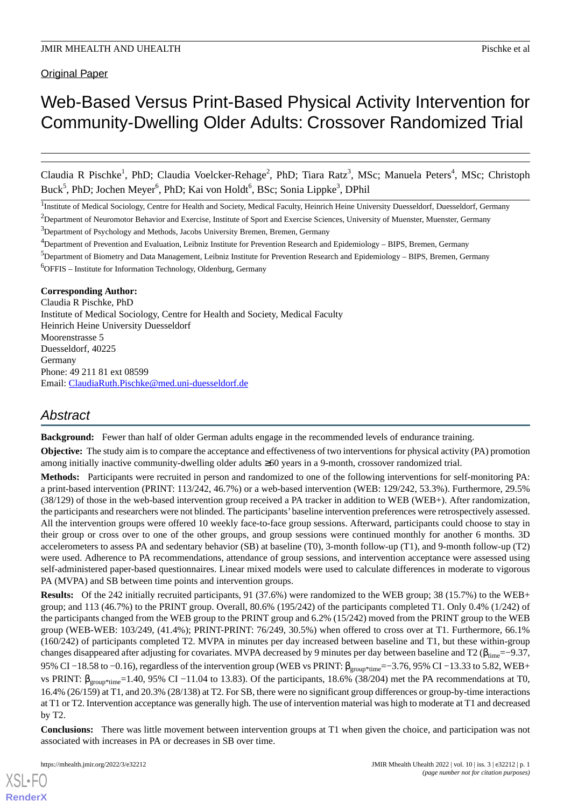# Web-Based Versus Print-Based Physical Activity Intervention for Community-Dwelling Older Adults: Crossover Randomized Trial

Claudia R Pischke<sup>1</sup>, PhD; Claudia Voelcker-Rehage<sup>2</sup>, PhD; Tiara Ratz<sup>3</sup>, MSc; Manuela Peters<sup>4</sup>, MSc; Christoph Buck<sup>5</sup>, PhD; Jochen Meyer<sup>6</sup>, PhD; Kai von Holdt<sup>6</sup>, BSc; Sonia Lippke<sup>3</sup>, DPhil

<sup>1</sup>Institute of Medical Sociology, Centre for Health and Society, Medical Faculty, Heinrich Heine University Duesseldorf, Duesseldorf, Germany

<sup>2</sup>Department of Neuromotor Behavior and Exercise, Institute of Sport and Exercise Sciences, University of Muenster, Muenster, Germany  $3D$ epartment of Psychology and Methods, Jacobs University Bremen, Bremen, Germany

<sup>4</sup>Department of Prevention and Evaluation, Leibniz Institute for Prevention Research and Epidemiology – BIPS, Bremen, Germany

<sup>5</sup>Department of Biometry and Data Management, Leibniz Institute for Prevention Research and Epidemiology – BIPS, Bremen, Germany  $6$ OFFIS – Institute for Information Technology, Oldenburg, Germany

## **Corresponding Author:**

Claudia R Pischke, PhD Institute of Medical Sociology, Centre for Health and Society, Medical Faculty Heinrich Heine University Duesseldorf Moorenstrasse 5 Duesseldorf, 40225 Germany Phone: 49 211 81 ext 08599 Email: [ClaudiaRuth.Pischke@med.uni-duesseldorf.de](mailto:ClaudiaRuth.Pischke@med.uni-duesseldorf.de)

## *Abstract*

**Background:** Fewer than half of older German adults engage in the recommended levels of endurance training.

**Objective:** The study aim is to compare the acceptance and effectiveness of two interventions for physical activity (PA) promotion among initially inactive community-dwelling older adults ≥60 years in a 9-month, crossover randomized trial.

**Methods:** Participants were recruited in person and randomized to one of the following interventions for self-monitoring PA: a print-based intervention (PRINT: 113/242, 46.7%) or a web-based intervention (WEB: 129/242, 53.3%). Furthermore, 29.5% (38/129) of those in the web-based intervention group received a PA tracker in addition to WEB (WEB+). After randomization, the participants and researchers were not blinded. The participants'baseline intervention preferences were retrospectively assessed. All the intervention groups were offered 10 weekly face-to-face group sessions. Afterward, participants could choose to stay in their group or cross over to one of the other groups, and group sessions were continued monthly for another 6 months. 3D accelerometers to assess PA and sedentary behavior (SB) at baseline (T0), 3-month follow-up (T1), and 9-month follow-up (T2) were used. Adherence to PA recommendations, attendance of group sessions, and intervention acceptance were assessed using self-administered paper-based questionnaires. Linear mixed models were used to calculate differences in moderate to vigorous PA (MVPA) and SB between time points and intervention groups.

**Results:** Of the 242 initially recruited participants, 91 (37.6%) were randomized to the WEB group; 38 (15.7%) to the WEB+ group; and 113 (46.7%) to the PRINT group. Overall, 80.6% (195/242) of the participants completed T1. Only 0.4% (1/242) of the participants changed from the WEB group to the PRINT group and 6.2% (15/242) moved from the PRINT group to the WEB group (WEB-WEB: 103/249, (41.4%); PRINT-PRINT: 76/249, 30.5%) when offered to cross over at T1. Furthermore, 66.1% (160/242) of participants completed T2. MVPA in minutes per day increased between baseline and T1, but these within-group changes disappeared after adjusting for covariates. MVPA decreased by 9 minutes per day between baseline and T2 ( $\beta_{time} = -9.37$ , 95% CI −18.58 to −0.16), regardless of the intervention group (WEB vs PRINT: β<sub>group\*time</sub>=−3.76, 95% CI −13.33 to 5.82, WEB+ vs PRINT:  $β_{\text{group*time}}=1.40, 95\% \text{ CI} -11.04 \text{ to } 13.83)$ . Of the participants, 18.6% (38/204) met the PA recommendations at T0, 16.4% (26/159) at T1, and 20.3% (28/138) at T2. For SB, there were no significant group differences or group-by-time interactions at T1 or T2. Intervention acceptance was generally high. The use of intervention material was high to moderate at T1 and decreased by T2.

**Conclusions:** There was little movement between intervention groups at T1 when given the choice, and participation was not associated with increases in PA or decreases in SB over time.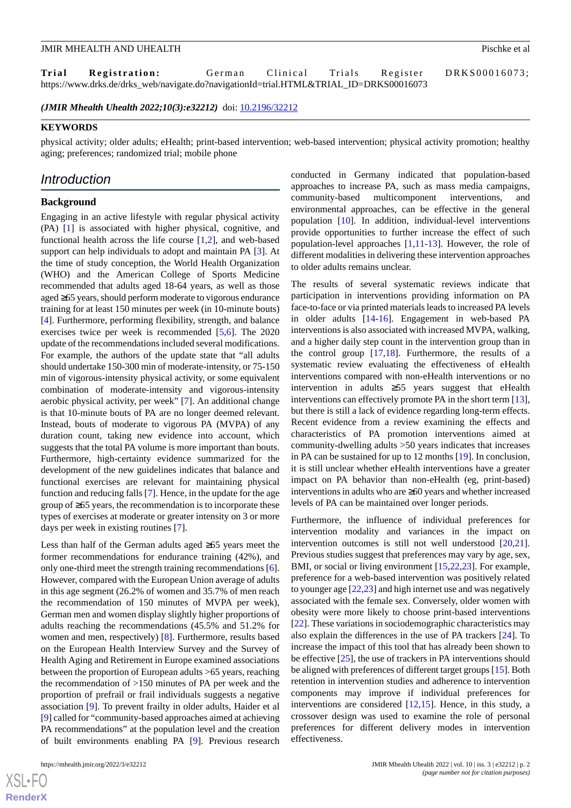Trial Registration: German Clinical Trials Register DRKS00016073; https://www.drks.de/drks\_web/navigate.do?navigationId=trial.HTML&TRIAL\_ID=DRKS00016073

*(JMIR Mhealth Uhealth 2022;10(3):e32212)* doi:  $10.2196/32212$ 

## **KEYWORDS**

physical activity; older adults; eHealth; print-based intervention; web-based intervention; physical activity promotion; healthy aging; preferences; randomized trial; mobile phone

## *Introduction*

#### **Background**

Engaging in an active lifestyle with regular physical activity (PA) [\[1](#page-11-0)] is associated with higher physical, cognitive, and functional health across the life course [[1](#page-11-0)[,2](#page-11-1)], and web-based support can help individuals to adopt and maintain PA [[3\]](#page-11-2). At the time of study conception, the World Health Organization (WHO) and the American College of Sports Medicine recommended that adults aged 18-64 years, as well as those aged ≥65 years, should perform moderate to vigorous endurance training for at least 150 minutes per week (in 10-minute bouts) [[4\]](#page-11-3). Furthermore, performing flexibility, strength, and balance exercises twice per week is recommended [[5,](#page-11-4)[6](#page-11-5)]. The 2020 update of the recommendations included several modifications. For example, the authors of the update state that "all adults should undertake 150-300 min of moderate-intensity, or 75-150 min of vigorous-intensity physical activity, or some equivalent combination of moderate-intensity and vigorous-intensity aerobic physical activity, per week" [\[7](#page-11-6)]. An additional change is that 10-minute bouts of PA are no longer deemed relevant. Instead, bouts of moderate to vigorous PA (MVPA) of any duration count, taking new evidence into account, which suggests that the total PA volume is more important than bouts. Furthermore, high-certainty evidence summarized for the development of the new guidelines indicates that balance and functional exercises are relevant for maintaining physical function and reducing falls [[7\]](#page-11-6). Hence, in the update for the age group of ≥65 years, the recommendation is to incorporate these types of exercises at moderate or greater intensity on 3 or more days per week in existing routines [[7\]](#page-11-6).

Less than half of the German adults aged ≥65 years meet the former recommendations for endurance training (42%), and only one-third meet the strength training recommendations [[6\]](#page-11-5). However, compared with the European Union average of adults in this age segment (26.2% of women and 35.7% of men reach the recommendation of 150 minutes of MVPA per week), German men and women display slightly higher proportions of adults reaching the recommendations (45.5% and 51.2% for women and men, respectively) [\[8](#page-11-7)]. Furthermore, results based on the European Health Interview Survey and the Survey of Health Aging and Retirement in Europe examined associations between the proportion of European adults >65 years, reaching the recommendation of >150 minutes of PA per week and the proportion of prefrail or frail individuals suggests a negative association [\[9](#page-11-8)]. To prevent frailty in older adults, Haider et al [[9\]](#page-11-8) called for "community-based approaches aimed at achieving PA recommendations" at the population level and the creation of built environments enabling PA [\[9](#page-11-8)]. Previous research

 $XS$ -FO **[RenderX](http://www.renderx.com/)** conducted in Germany indicated that population-based approaches to increase PA, such as mass media campaigns, community-based multicomponent interventions, and environmental approaches, can be effective in the general population [[10\]](#page-12-0). In addition, individual-level interventions provide opportunities to further increase the effect of such population-level approaches [\[1](#page-11-0),[11](#page-12-1)[-13](#page-12-2)]. However, the role of different modalities in delivering these intervention approaches to older adults remains unclear.

The results of several systematic reviews indicate that participation in interventions providing information on PA face-to-face or via printed materials leads to increased PA levels in older adults [[14-](#page-12-3)[16\]](#page-12-4). Engagement in web-based PA interventions is also associated with increased MVPA, walking, and a higher daily step count in the intervention group than in the control group [[17,](#page-12-5)[18](#page-12-6)]. Furthermore, the results of a systematic review evaluating the effectiveness of eHealth interventions compared with non-eHealth interventions or no intervention in adults ≥55 years suggest that eHealth interventions can effectively promote PA in the short term [[13\]](#page-12-2), but there is still a lack of evidence regarding long-term effects. Recent evidence from a review examining the effects and characteristics of PA promotion interventions aimed at community-dwelling adults >50 years indicates that increases in PA can be sustained for up to 12 months [\[19](#page-12-7)]. In conclusion, it is still unclear whether eHealth interventions have a greater impact on PA behavior than non-eHealth (eg, print-based) interventions in adults who are ≥60 years and whether increased levels of PA can be maintained over longer periods.

Furthermore, the influence of individual preferences for intervention modality and variances in the impact on intervention outcomes is still not well understood [\[20](#page-12-8),[21\]](#page-12-9). Previous studies suggest that preferences may vary by age, sex, BMI, or social or living environment [[15](#page-12-10)[,22](#page-12-11),[23\]](#page-12-12). For example, preference for a web-based intervention was positively related to younger age [[22](#page-12-11)[,23](#page-12-12)] and high internet use and was negatively associated with the female sex. Conversely, older women with obesity were more likely to choose print-based interventions [[22\]](#page-12-11). These variations in sociodemographic characteristics may also explain the differences in the use of PA trackers [[24\]](#page-12-13). To increase the impact of this tool that has already been shown to be effective [\[25](#page-12-14)], the use of trackers in PA interventions should be aligned with preferences of different target groups [[15\]](#page-12-10). Both retention in intervention studies and adherence to intervention components may improve if individual preferences for interventions are considered [\[12](#page-12-15),[15\]](#page-12-10). Hence, in this study, a crossover design was used to examine the role of personal preferences for different delivery modes in intervention effectiveness.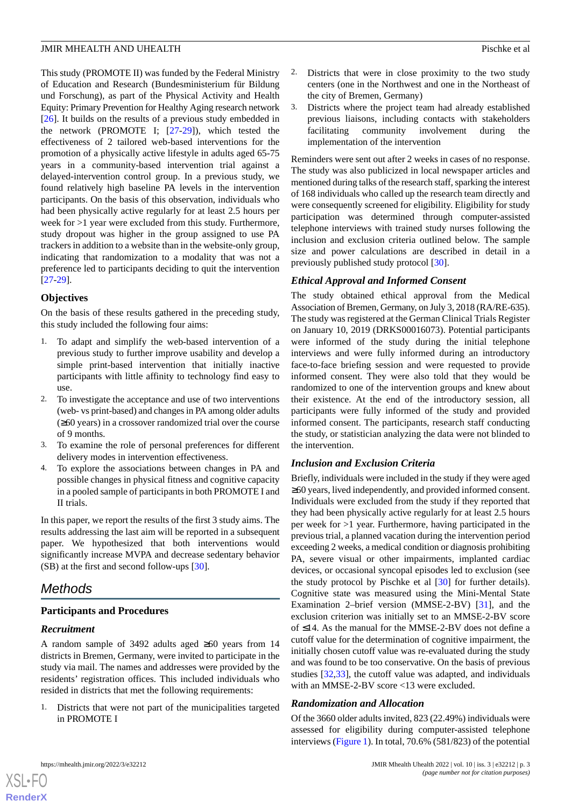This study (PROMOTE II) was funded by the Federal Ministry of Education and Research (Bundesministerium für Bildung und Forschung), as part of the Physical Activity and Health Equity: Primary Prevention for Healthy Aging research network [[26\]](#page-12-16). It builds on the results of a previous study embedded in the network (PROMOTE I; [[27](#page-12-17)[-29](#page-12-18)]), which tested the effectiveness of 2 tailored web-based interventions for the promotion of a physically active lifestyle in adults aged 65-75 years in a community-based intervention trial against a delayed-intervention control group. In a previous study, we found relatively high baseline PA levels in the intervention participants. On the basis of this observation, individuals who had been physically active regularly for at least 2.5 hours per week for >1 year were excluded from this study. Furthermore, study dropout was higher in the group assigned to use PA trackers in addition to a website than in the website-only group, indicating that randomization to a modality that was not a preference led to participants deciding to quit the intervention [[27](#page-12-17)[-29](#page-12-18)].

## **Objectives**

On the basis of these results gathered in the preceding study, this study included the following four aims:

- 1. To adapt and simplify the web-based intervention of a previous study to further improve usability and develop a simple print-based intervention that initially inactive participants with little affinity to technology find easy to use.
- 2. To investigate the acceptance and use of two interventions (web- vs print-based) and changes in PA among older adults (≥60 years) in a crossover randomized trial over the course of 9 months.
- 3. To examine the role of personal preferences for different delivery modes in intervention effectiveness.
- 4. To explore the associations between changes in PA and possible changes in physical fitness and cognitive capacity in a pooled sample of participants in both PROMOTE I and II trials.

In this paper, we report the results of the first 3 study aims. The results addressing the last aim will be reported in a subsequent paper. We hypothesized that both interventions would significantly increase MVPA and decrease sedentary behavior (SB) at the first and second follow-ups [[30\]](#page-12-19).

## *Methods*

## **Participants and Procedures**

## *Recruitment*

A random sample of 3492 adults aged ≥60 years from 14 districts in Bremen, Germany, were invited to participate in the study via mail. The names and addresses were provided by the residents' registration offices. This included individuals who resided in districts that met the following requirements:

1. Districts that were not part of the municipalities targeted in PROMOTE I

- 2. Districts that were in close proximity to the two study centers (one in the Northwest and one in the Northeast of the city of Bremen, Germany)
- 3. Districts where the project team had already established previous liaisons, including contacts with stakeholders facilitating community involvement during the implementation of the intervention

Reminders were sent out after 2 weeks in cases of no response. The study was also publicized in local newspaper articles and mentioned during talks of the research staff, sparking the interest of 168 individuals who called up the research team directly and were consequently screened for eligibility. Eligibility for study participation was determined through computer-assisted telephone interviews with trained study nurses following the inclusion and exclusion criteria outlined below. The sample size and power calculations are described in detail in a previously published study protocol [[30\]](#page-12-19).

## *Ethical Approval and Informed Consent*

The study obtained ethical approval from the Medical Association of Bremen, Germany, on July 3, 2018 (RA/RE-635). The study was registered at the German Clinical Trials Register on January 10, 2019 (DRKS00016073). Potential participants were informed of the study during the initial telephone interviews and were fully informed during an introductory face-to-face briefing session and were requested to provide informed consent. They were also told that they would be randomized to one of the intervention groups and knew about their existence. At the end of the introductory session, all participants were fully informed of the study and provided informed consent. The participants, research staff conducting the study, or statistician analyzing the data were not blinded to the intervention.

## *Inclusion and Exclusion Criteria*

Briefly, individuals were included in the study if they were aged ≥60 years, lived independently, and provided informed consent. Individuals were excluded from the study if they reported that they had been physically active regularly for at least 2.5 hours per week for >1 year. Furthermore, having participated in the previous trial, a planned vacation during the intervention period exceeding 2 weeks, a medical condition or diagnosis prohibiting PA, severe visual or other impairments, implanted cardiac devices, or occasional syncopal episodes led to exclusion (see the study protocol by Pischke et al [[30\]](#page-12-19) for further details). Cognitive state was measured using the Mini-Mental State Examination 2–brief version (MMSE-2-BV) [[31\]](#page-13-0), and the exclusion criterion was initially set to an MMSE-2-BV score of ≤14. As the manual for the MMSE-2-BV does not define a cutoff value for the determination of cognitive impairment, the initially chosen cutoff value was re-evaluated during the study and was found to be too conservative. On the basis of previous studies [[32](#page-13-1)[,33](#page-13-2)], the cutoff value was adapted, and individuals with an MMSE-2-BV score <13 were excluded.

## *Randomization and Allocation*

Of the 3660 older adults invited, 823 (22.49%) individuals were assessed for eligibility during computer-assisted telephone interviews [\(Figure 1\)](#page-3-0). In total, 70.6% (581/823) of the potential

 $XS$  $\cdot$ FC **[RenderX](http://www.renderx.com/)**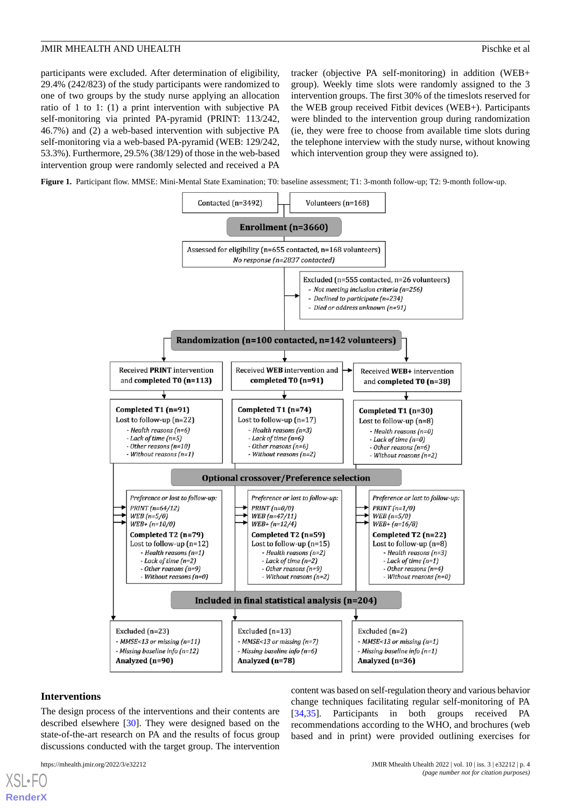participants were excluded. After determination of eligibility, 29.4% (242/823) of the study participants were randomized to one of two groups by the study nurse applying an allocation ratio of 1 to 1: (1) a print intervention with subjective PA self-monitoring via printed PA-pyramid (PRINT: 113/242, 46.7%) and (2) a web-based intervention with subjective PA self-monitoring via a web-based PA-pyramid (WEB: 129/242, 53.3%). Furthermore, 29.5% (38/129) of those in the web-based intervention group were randomly selected and received a PA

tracker (objective PA self-monitoring) in addition (WEB+ group). Weekly time slots were randomly assigned to the 3 intervention groups. The first 30% of the timeslots reserved for the WEB group received Fitbit devices (WEB+). Participants were blinded to the intervention group during randomization (ie, they were free to choose from available time slots during the telephone interview with the study nurse, without knowing which intervention group they were assigned to).

<span id="page-3-0"></span>**Figure 1.** Participant flow. MMSE: Mini-Mental State Examination; T0: baseline assessment; T1: 3-month follow-up; T2: 9-month follow-up.



#### **Interventions**

[XSL](http://www.w3.org/Style/XSL)•FO **[RenderX](http://www.renderx.com/)**

The design process of the interventions and their contents are described elsewhere [[30\]](#page-12-19). They were designed based on the state-of-the-art research on PA and the results of focus group discussions conducted with the target group. The intervention

content was based on self-regulation theory and various behavior change techniques facilitating regular self-monitoring of PA [[34,](#page-13-3)[35\]](#page-13-4). Participants in both groups received PA recommendations according to the WHO, and brochures (web based and in print) were provided outlining exercises for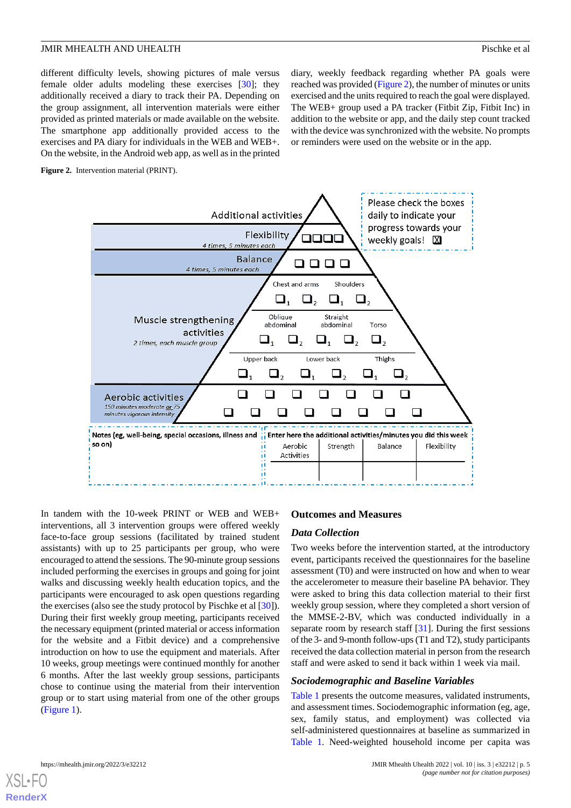different difficulty levels, showing pictures of male versus female older adults modeling these exercises [[30\]](#page-12-19); they additionally received a diary to track their PA. Depending on the group assignment, all intervention materials were either provided as printed materials or made available on the website. The smartphone app additionally provided access to the exercises and PA diary for individuals in the WEB and WEB+. On the website, in the Android web app, as well as in the printed diary, weekly feedback regarding whether PA goals were reached was provided ([Figure 2](#page-4-0)), the number of minutes or units exercised and the units required to reach the goal were displayed. The WEB+ group used a PA tracker (Fitbit Zip, Fitbit Inc) in addition to the website or app, and the daily step count tracked with the device was synchronized with the website. No prompts or reminders were used on the website or in the app.

<span id="page-4-0"></span>**Figure 2.** Intervention material (PRINT).



In tandem with the 10-week PRINT or WEB and WEB+ interventions, all 3 intervention groups were offered weekly face-to-face group sessions (facilitated by trained student assistants) with up to 25 participants per group, who were encouraged to attend the sessions. The 90-minute group sessions included performing the exercises in groups and going for joint walks and discussing weekly health education topics, and the participants were encouraged to ask open questions regarding the exercises (also see the study protocol by Pischke et al [\[30](#page-12-19)]). During their first weekly group meeting, participants received the necessary equipment (printed material or access information for the website and a Fitbit device) and a comprehensive introduction on how to use the equipment and materials. After 10 weeks, group meetings were continued monthly for another 6 months. After the last weekly group sessions, participants chose to continue using the material from their intervention group or to start using material from one of the other groups ([Figure 1\)](#page-3-0).

#### **Outcomes and Measures**

#### *Data Collection*

Two weeks before the intervention started, at the introductory event, participants received the questionnaires for the baseline assessment (T0) and were instructed on how and when to wear the accelerometer to measure their baseline PA behavior. They were asked to bring this data collection material to their first weekly group session, where they completed a short version of the MMSE-2-BV, which was conducted individually in a separate room by research staff [\[31](#page-13-0)]. During the first sessions of the 3- and 9-month follow-ups (T1 and T2), study participants received the data collection material in person from the research staff and were asked to send it back within 1 week via mail.

#### *Sociodemographic and Baseline Variables*

[Table 1](#page-5-0) presents the outcome measures, validated instruments, and assessment times. Sociodemographic information (eg, age, sex, family status, and employment) was collected via self-administered questionnaires at baseline as summarized in [Table 1.](#page-5-0) Need-weighted household income per capita was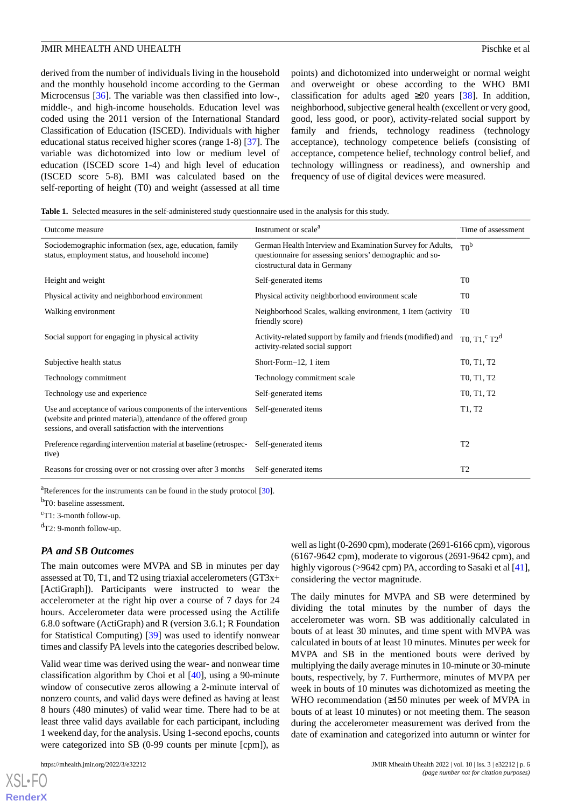derived from the number of individuals living in the household and the monthly household income according to the German Microcensus [\[36](#page-13-5)]. The variable was then classified into low-, middle-, and high-income households. Education level was coded using the 2011 version of the International Standard Classification of Education (ISCED). Individuals with higher educational status received higher scores (range 1-8) [[37\]](#page-13-6). The variable was dichotomized into low or medium level of education (ISCED score 1-4) and high level of education (ISCED score 5-8). BMI was calculated based on the self-reporting of height (T0) and weight (assessed at all time

points) and dichotomized into underweight or normal weight and overweight or obese according to the WHO BMI classification for adults aged  $\geq 20$  years [[38\]](#page-13-7). In addition, neighborhood, subjective general health (excellent or very good, good, less good, or poor), activity-related social support by family and friends, technology readiness (technology acceptance), technology competence beliefs (consisting of acceptance, competence belief, technology control belief, and technology willingness or readiness), and ownership and frequency of use of digital devices were measured.

<span id="page-5-0"></span>**Table 1.** Selected measures in the self-administered study questionnaire used in the analysis for this study.

| Outcome measure                                                                                                                                                                               | Instrument or scale <sup>a</sup>                                                                                                                        | Time of assessment                               |
|-----------------------------------------------------------------------------------------------------------------------------------------------------------------------------------------------|---------------------------------------------------------------------------------------------------------------------------------------------------------|--------------------------------------------------|
| Sociodemographic information (sex, age, education, family<br>status, employment status, and household income)                                                                                 | German Health Interview and Examination Survey for Adults,<br>questionnaire for assessing seniors' demographic and so-<br>ciostructural data in Germany | T0 <sup>b</sup>                                  |
| Height and weight                                                                                                                                                                             | Self-generated items                                                                                                                                    | T <sub>0</sub>                                   |
| Physical activity and neighborhood environment                                                                                                                                                | Physical activity neighborhood environment scale                                                                                                        | T <sub>0</sub>                                   |
| Walking environment                                                                                                                                                                           | Neighborhood Scales, walking environment, 1 Item (activity)<br>friendly score)                                                                          | T <sub>0</sub>                                   |
| Social support for engaging in physical activity                                                                                                                                              | Activity-related support by family and friends (modified) and<br>activity-related social support                                                        | T0, $T1$ , $C T2d$                               |
| Subjective health status                                                                                                                                                                      | Short-Form-12, 1 item                                                                                                                                   | T <sub>0</sub> , T <sub>1</sub> , T <sub>2</sub> |
| Technology commitment                                                                                                                                                                         | Technology commitment scale                                                                                                                             | T <sub>0</sub> , T <sub>1</sub> , T <sub>2</sub> |
| Technology use and experience                                                                                                                                                                 | Self-generated items                                                                                                                                    | T <sub>0</sub> , T <sub>1</sub> , T <sub>2</sub> |
| Use and acceptance of various components of the interventions<br>(website and printed material), attendance of the offered group<br>sessions, and overall satisfaction with the interventions | Self-generated items                                                                                                                                    | T1, T2                                           |
| Preference regarding intervention material at baseline (retrospec-<br>tive)                                                                                                                   | Self-generated items                                                                                                                                    | T <sub>2</sub>                                   |
| Reasons for crossing over or not crossing over after 3 months                                                                                                                                 | Self-generated items                                                                                                                                    | T <sub>2</sub>                                   |

 $a^2$ References for the instruments can be found in the study protocol [[30\]](#page-12-19).

<sup>b</sup>T0: baseline assessment.

 $c$ T1: 3-month follow-up.

 $d$ T2: 9-month follow-up.

#### *PA and SB Outcomes*

The main outcomes were MVPA and SB in minutes per day assessed at T0, T1, and T2 using triaxial accelerometers (GT3x+ [ActiGraph]). Participants were instructed to wear the accelerometer at the right hip over a course of 7 days for 24 hours. Accelerometer data were processed using the Actilife 6.8.0 software (ActiGraph) and R (version 3.6.1; R Foundation for Statistical Computing) [\[39](#page-13-8)] was used to identify nonwear times and classify PA levels into the categories described below.

Valid wear time was derived using the wear- and nonwear time classification algorithm by Choi et al [[40\]](#page-13-9), using a 90-minute window of consecutive zeros allowing a 2-minute interval of nonzero counts, and valid days were defined as having at least 8 hours (480 minutes) of valid wear time. There had to be at least three valid days available for each participant, including 1 weekend day, for the analysis. Using 1-second epochs, counts were categorized into SB (0-99 counts per minute [cpm]), as

[XSL](http://www.w3.org/Style/XSL)•FO **[RenderX](http://www.renderx.com/)**

well as light (0-2690 cpm), moderate (2691-6166 cpm), vigorous (6167-9642 cpm), moderate to vigorous (2691-9642 cpm), and highly vigorous (>9642 cpm) PA, according to Sasaki et al [\[41](#page-13-10)], considering the vector magnitude.

The daily minutes for MVPA and SB were determined by dividing the total minutes by the number of days the accelerometer was worn. SB was additionally calculated in bouts of at least 30 minutes, and time spent with MVPA was calculated in bouts of at least 10 minutes. Minutes per week for MVPA and SB in the mentioned bouts were derived by multiplying the daily average minutes in 10-minute or 30-minute bouts, respectively, by 7. Furthermore, minutes of MVPA per week in bouts of 10 minutes was dichotomized as meeting the WHO recommendation (≥150 minutes per week of MVPA in bouts of at least 10 minutes) or not meeting them. The season during the accelerometer measurement was derived from the date of examination and categorized into autumn or winter for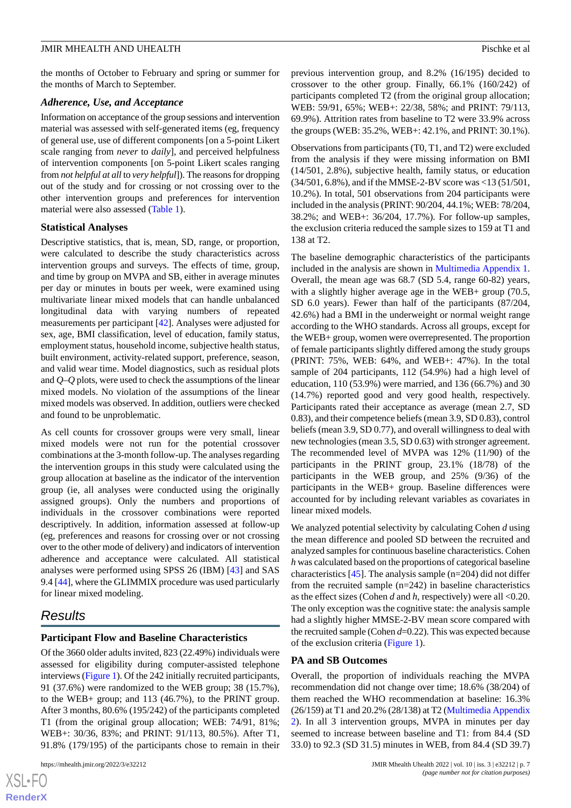the months of October to February and spring or summer for the months of March to September.

#### *Adherence, Use, and Acceptance*

Information on acceptance of the group sessions and intervention material was assessed with self-generated items (eg, frequency of general use, use of different components [on a 5-point Likert scale ranging from *never* to *daily*], and perceived helpfulness of intervention components [on 5-point Likert scales ranging from *not helpful at all*to *very helpful*]). The reasons for dropping out of the study and for crossing or not crossing over to the other intervention groups and preferences for intervention material were also assessed [\(Table 1\)](#page-5-0).

#### **Statistical Analyses**

Descriptive statistics, that is, mean, SD, range, or proportion, were calculated to describe the study characteristics across intervention groups and surveys. The effects of time, group, and time by group on MVPA and SB, either in average minutes per day or minutes in bouts per week, were examined using multivariate linear mixed models that can handle unbalanced longitudinal data with varying numbers of repeated measurements per participant [[42\]](#page-13-11). Analyses were adjusted for sex, age, BMI classification, level of education, family status, employment status, household income, subjective health status, built environment, activity-related support, preference, season, and valid wear time. Model diagnostics, such as residual plots and *Q*–*Q* plots, were used to check the assumptions of the linear mixed models. No violation of the assumptions of the linear mixed models was observed. In addition, outliers were checked and found to be unproblematic.

As cell counts for crossover groups were very small, linear mixed models were not run for the potential crossover combinations at the 3-month follow-up. The analyses regarding the intervention groups in this study were calculated using the group allocation at baseline as the indicator of the intervention group (ie, all analyses were conducted using the originally assigned groups). Only the numbers and proportions of individuals in the crossover combinations were reported descriptively. In addition, information assessed at follow-up (eg, preferences and reasons for crossing over or not crossing over to the other mode of delivery) and indicators of intervention adherence and acceptance were calculated. All statistical analyses were performed using SPSS 26 (IBM) [[43\]](#page-13-12) and SAS 9.4 [\[44](#page-13-13)], where the GLIMMIX procedure was used particularly for linear mixed modeling.

## *Results*

#### **Participant Flow and Baseline Characteristics**

Of the 3660 older adults invited, 823 (22.49%) individuals were assessed for eligibility during computer-assisted telephone interviews ([Figure 1\)](#page-3-0). Of the 242 initially recruited participants, 91 (37.6%) were randomized to the WEB group; 38 (15.7%), to the WEB+ group; and 113 (46.7%), to the PRINT group. After 3 months, 80.6% (195/242) of the participants completed T1 (from the original group allocation; WEB: 74/91, 81%; WEB+: 30/36, 83%; and PRINT: 91/113, 80.5%). After T1, 91.8% (179/195) of the participants chose to remain in their

previous intervention group, and 8.2% (16/195) decided to crossover to the other group. Finally, 66.1% (160/242) of participants completed T2 (from the original group allocation; WEB: 59/91, 65%; WEB+: 22/38, 58%; and PRINT: 79/113, 69.9%). Attrition rates from baseline to T2 were 33.9% across the groups (WEB: 35.2%, WEB+: 42.1%, and PRINT: 30.1%).

Observations from participants (T0, T1, and T2) were excluded from the analysis if they were missing information on BMI (14/501, 2.8%), subjective health, family status, or education (34/501, 6.8%), and if the MMSE-2-BV score was <13 (51/501, 10.2%). In total, 501 observations from 204 participants were included in the analysis (PRINT: 90/204, 44.1%; WEB: 78/204, 38.2%; and WEB+: 36/204, 17.7%). For follow-up samples, the exclusion criteria reduced the sample sizes to 159 at T1 and 138 at T2.

The baseline demographic characteristics of the participants included in the analysis are shown in [Multimedia Appendix 1](#page-11-9). Overall, the mean age was 68.7 (SD 5.4, range 60-82) years, with a slightly higher average age in the WEB+ group (70.5, SD 6.0 years). Fewer than half of the participants (87/204, 42.6%) had a BMI in the underweight or normal weight range according to the WHO standards. Across all groups, except for the WEB+ group, women were overrepresented. The proportion of female participants slightly differed among the study groups (PRINT: 75%, WEB: 64%, and WEB+: 47%). In the total sample of 204 participants, 112 (54.9%) had a high level of education, 110 (53.9%) were married, and 136 (66.7%) and 30 (14.7%) reported good and very good health, respectively. Participants rated their acceptance as average (mean 2.7, SD 0.83), and their competence beliefs (mean 3.9, SD 0.83), control beliefs (mean 3.9, SD 0.77), and overall willingness to deal with new technologies (mean 3.5, SD 0.63) with stronger agreement. The recommended level of MVPA was 12% (11/90) of the participants in the PRINT group, 23.1% (18/78) of the participants in the WEB group, and 25% (9/36) of the participants in the WEB+ group. Baseline differences were accounted for by including relevant variables as covariates in linear mixed models.

We analyzed potential selectivity by calculating Cohen *d* using the mean difference and pooled SD between the recruited and analyzed samples for continuous baseline characteristics. Cohen *h* was calculated based on the proportions of categorical baseline characteristics  $[45]$  $[45]$ . The analysis sample (n=204) did not differ from the recruited sample (n=242) in baseline characteristics as the effect sizes (Cohen *d* and *h*, respectively) were all <0.20. The only exception was the cognitive state: the analysis sample had a slightly higher MMSE-2-BV mean score compared with the recruited sample (Cohen *d*=0.22). This was expected because of the exclusion criteria [\(Figure 1\)](#page-3-0).

#### **PA and SB Outcomes**

Overall, the proportion of individuals reaching the MVPA recommendation did not change over time; 18.6% (38/204) of them reached the WHO recommendation at baseline: 16.3% (26/159) at T1 and 20.2% (28/138) at T2 ([Multimedia Appendix](#page-11-10) [2\)](#page-11-10). In all 3 intervention groups, MVPA in minutes per day seemed to increase between baseline and T1: from 84.4 (SD 33.0) to 92.3 (SD 31.5) minutes in WEB, from 84.4 (SD 39.7)

 $XSJ \cdot F$ **[RenderX](http://www.renderx.com/)**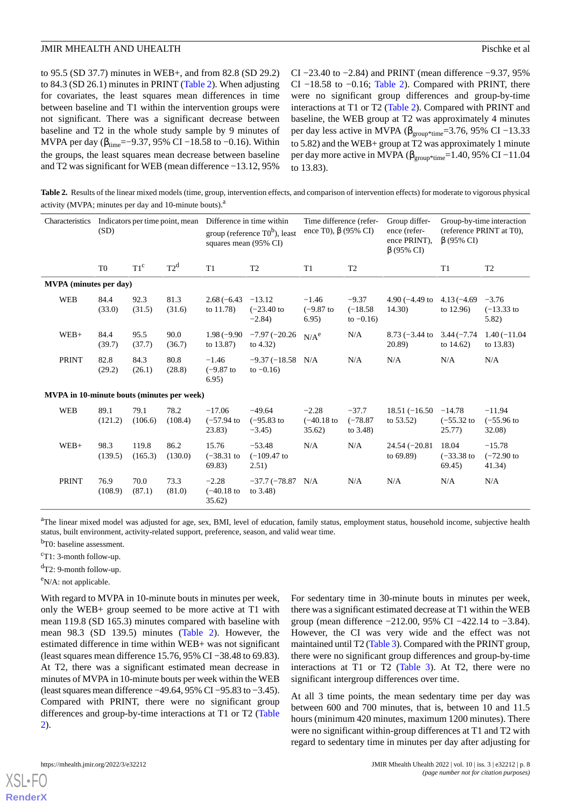to 95.5 (SD 37.7) minutes in WEB+, and from 82.8 (SD 29.2) to 84.3 (SD 26.1) minutes in PRINT ([Table 2\)](#page-7-0). When adjusting for covariates, the least squares mean differences in time between baseline and T1 within the intervention groups were not significant. There was a significant decrease between baseline and T2 in the whole study sample by 9 minutes of MVPA per day ( $β_{time} = -9.37,95%$  CI -18.58 to -0.16). Within the groups, the least squares mean decrease between baseline and T2 was significant for WEB (mean difference −13.12, 95%

CI −23.40 to −2.84) and PRINT (mean difference −9.37, 95% CI −18.58 to −0.16; [Table 2\)](#page-7-0). Compared with PRINT, there were no significant group differences and group-by-time interactions at T1 or T2 [\(Table 2\)](#page-7-0). Compared with PRINT and baseline, the WEB group at T2 was approximately 4 minutes per day less active in MVPA ( $\beta_{\text{group*time}}$ =3.76, 95% CI –13.33 to 5.82) and the WEB+ group at T2 was approximately 1 minute per day more active in MVPA ( $\beta_{\text{group*time}}$ =1.40, 95% CI –11.04 to 13.83).

<span id="page-7-0"></span>**Table 2.** Results of the linear mixed models (time, group, intervention effects, and comparison of intervention effects) for moderate to vigorous physical activity (MVPA; minutes per day and 10-minute bouts).<sup>a</sup>

| Characteristics                            | Indicators per time point, mean<br>(SD) |                  | Difference in time within<br>group (reference $T0^b$ ), least<br>squares mean (95% CI) |                                     | Time difference (refer-<br>ence T0), $\beta$ (95% CI) |                                  | Group differ-<br>ence (refer-<br>ence PRINT).<br>$\beta$ (95% CI) | Group-by-time interaction<br>(reference PRINT at T0),<br>$\beta$ (95% CI) |                                     |                                     |
|--------------------------------------------|-----------------------------------------|------------------|----------------------------------------------------------------------------------------|-------------------------------------|-------------------------------------------------------|----------------------------------|-------------------------------------------------------------------|---------------------------------------------------------------------------|-------------------------------------|-------------------------------------|
|                                            | T <sub>0</sub>                          | $T1^c$           | $T2^d$                                                                                 | T1                                  | T <sub>2</sub>                                        | T <sub>1</sub>                   | T <sub>2</sub>                                                    |                                                                           | T1                                  | T <sub>2</sub>                      |
| <b>MVPA</b> (minutes per day)              |                                         |                  |                                                                                        |                                     |                                                       |                                  |                                                                   |                                                                           |                                     |                                     |
| <b>WEB</b>                                 | 84.4<br>(33.0)                          | 92.3<br>(31.5)   | 81.3<br>(31.6)                                                                         | $2.68(-6.43)$<br>to 11.78)          | $-13.12$<br>$(-23.40)$ to<br>$-2.84$ )                | $-1.46$<br>$(-9.87)$ to<br>6.95) | $-9.37$<br>$(-18.58)$<br>to $-0.16$ )                             | 4.90 $(-4.49)$ to<br>14.30)                                               | $4.13(-4.69)$<br>to $12.96$ )       | $-3.76$<br>$(-13.33)$ to<br>5.82)   |
| $WEB+$                                     | 84.4<br>(39.7)                          | 95.5<br>(37.7)   | 90.0<br>(36.7)                                                                         | $1.98(-9.90)$<br>to 13.87)          | $-7.97(-20.26)$<br>to $4.32$ )                        | N/A <sup>e</sup>                 | N/A                                                               | $8.73 (-3.44)$<br>20.89)                                                  | $3.44(-7.74)$<br>to $14.62$ )       | $1.40(-11.04)$<br>to $13.83$ )      |
| <b>PRINT</b>                               | 82.8<br>(29.2)                          | 84.3<br>(26.1)   | 80.8<br>(28.8)                                                                         | $-1.46$<br>$(-9.87)$ to<br>6.95)    | $-9.37(-18.58)$ N/A<br>to $-0.16$ )                   |                                  | N/A                                                               | N/A                                                                       | N/A                                 | N/A                                 |
| MVPA in 10-minute bouts (minutes per week) |                                         |                  |                                                                                        |                                     |                                                       |                                  |                                                                   |                                                                           |                                     |                                     |
| WEB                                        | 89.1<br>(121.2)                         | 79.1<br>(106.6)  | 78.2<br>(108.4)                                                                        | $-17.06$<br>$(-57.94)$ to<br>23.83) | $-49.64$<br>$(-95.83)$ to<br>$-3.45$                  | $-2.28$<br>$(-40.18)$<br>35.62)  | $-37.7$<br>$(-78.87)$<br>to $3.48$ )                              | $18.51(-16.50)$<br>to $53.52$ )                                           | $-14.78$<br>$(-55.32)$ to<br>25.77) | $-11.94$<br>$(-55.96)$ to<br>32.08) |
| $WEB+$                                     | 98.3<br>(139.5)                         | 119.8<br>(165.3) | 86.2<br>(130.0)                                                                        | 15.76<br>$(-38.31)$ to<br>69.83)    | $-53.48$<br>$(-109.47)$ to<br>2.51)                   | N/A                              | N/A                                                               | $24.54(-20.81)$<br>to 69.89)                                              | 18.04<br>$(-33.38)$ to<br>69.45)    | $-15.78$<br>$(-72.90)$ to<br>41.34) |
| <b>PRINT</b>                               | 76.9<br>(108.9)                         | 70.0<br>(87.1)   | 73.3<br>(81.0)                                                                         | $-2.28$<br>$(-40.18)$<br>35.62)     | $-37.7(-78.87)$<br>to $3.48$ )                        | N/A                              | N/A                                                               | N/A                                                                       | N/A                                 | N/A                                 |

<sup>a</sup>The linear mixed model was adjusted for age, sex, BMI, level of education, family status, employment status, household income, subjective health status, built environment, activity-related support, preference, season, and valid wear time.

<sup>b</sup>T0: baseline assessment.

<sup>c</sup>T1: 3-month follow-up.

 $d$ T2: 9-month follow-up.

e<sub>N</sub>/A: not applicable.

With regard to MVPA in 10-minute bouts in minutes per week, only the WEB+ group seemed to be more active at T1 with mean 119.8 (SD 165.3) minutes compared with baseline with mean 98.3 (SD 139.5) minutes ([Table 2](#page-7-0)). However, the estimated difference in time within WEB+ was not significant (least squares mean difference 15.76, 95% CI −38.48 to 69.83). At T2, there was a significant estimated mean decrease in minutes of MVPA in 10-minute bouts per week within the WEB (least squares mean difference −49.64, 95% CI −95.83 to −3.45). Compared with PRINT, there were no significant group differences and group-by-time interactions at T1 or T2 ([Table](#page-7-0) [2\)](#page-7-0).

For sedentary time in 30-minute bouts in minutes per week, there was a significant estimated decrease at T1 within the WEB group (mean difference −212.00, 95% CI −422.14 to −3.84). However, the CI was very wide and the effect was not maintained until T2 [\(Table 3](#page-8-0)). Compared with the PRINT group, there were no significant group differences and group-by-time interactions at T1 or T2 ([Table 3\)](#page-8-0). At T2, there were no significant intergroup differences over time.

At all 3 time points, the mean sedentary time per day was between 600 and 700 minutes, that is, between 10 and 11.5 hours (minimum 420 minutes, maximum 1200 minutes). There were no significant within-group differences at T1 and T2 with regard to sedentary time in minutes per day after adjusting for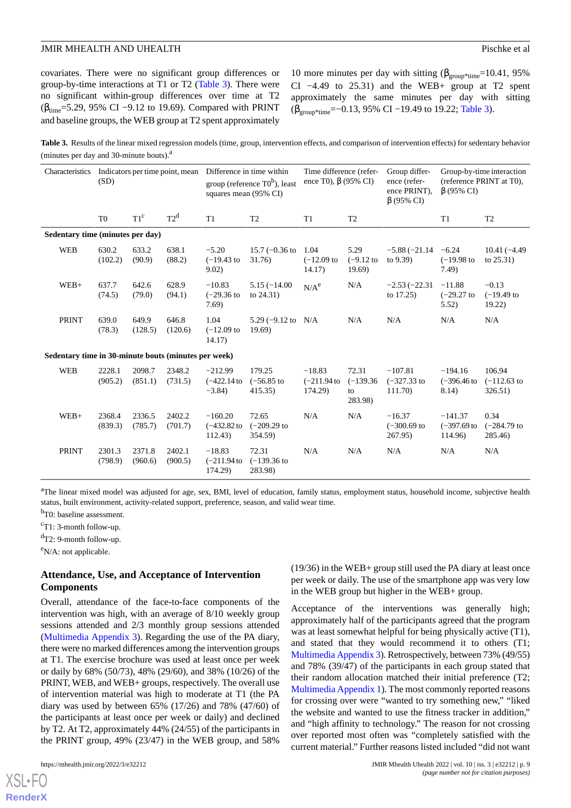covariates. There were no significant group differences or group-by-time interactions at T1 or T2 ([Table 3\)](#page-8-0). There were no significant within-group differences over time at T2 ( $β_{time}$ =5.29, 95% CI −9.12 to 19.69). Compared with PRINT and baseline groups, the WEB group at T2 spent approximately

10 more minutes per day with sitting ( $\beta_{\text{group*time}}$ =10.41, 95%) CI −4.49 to 25.31) and the WEB+ group at T2 spent approximately the same minutes per day with sitting (βgroup\*time=−0.13, 95% CI −19.49 to 19.22; [Table 3](#page-8-0)).

<span id="page-8-0"></span>Table 3. Results of the linear mixed regression models (time, group, intervention effects, and comparison of intervention effects) for sedentary behavior (minutes per day and  $30$ -minute bouts). $^{a}$ 

| Characteristics                                      | Indicators per time point, mean<br>(SD) |                   | Difference in time within<br>group (reference $T0^b$ ), least<br>squares mean (95% CI) |                                         | Time difference (refer-<br>ence T0), $\beta$ (95% CI) |                                       | Group differ-<br>ence (refer-<br>ence PRINT).<br>$\beta$ (95% CI) | Group-by-time interaction<br>(reference PRINT at T0),<br>$\beta$ (95% CI) |                                        |                                     |
|------------------------------------------------------|-----------------------------------------|-------------------|----------------------------------------------------------------------------------------|-----------------------------------------|-------------------------------------------------------|---------------------------------------|-------------------------------------------------------------------|---------------------------------------------------------------------------|----------------------------------------|-------------------------------------|
|                                                      | T <sub>0</sub>                          | $T1^c$            | $T2^d$                                                                                 | T1                                      | T <sub>2</sub>                                        | T <sub>1</sub>                        | T <sub>2</sub>                                                    |                                                                           | T <sub>1</sub>                         | T <sub>2</sub>                      |
| Sedentary time (minutes per day)                     |                                         |                   |                                                                                        |                                         |                                                       |                                       |                                                                   |                                                                           |                                        |                                     |
| WEB                                                  | 630.2<br>(102.2)                        | 633.2<br>(90.9)   | 638.1<br>(88.2)                                                                        | $-5.20$<br>$(-19.43)$ to<br>9.02)       | $15.7 (-0.36)$ to<br>31.76)                           | 1.04<br>$(-12.09)$ to<br>14.17)       | 5.29<br>$(-9.12)$ to<br>19.69                                     | $-5.88(-21.14)$<br>to 9.39)                                               | $-6.24$<br>$(-19.98)$ to<br>7.49)      | $10.41(-4.49)$<br>to $25.31$ )      |
| $WEB+$                                               | 637.7<br>(74.5)                         | 642.6<br>(79.0)   | 628.9<br>(94.1)                                                                        | $-10.83$<br>$(-29.36)$ to<br>7.69)      | $5.15(-14.00)$<br>to $24.31$ )                        | $N/A^e$                               | N/A                                                               | $-2.53(-22.31)$<br>to $17.25$ )                                           | $-11.88$<br>$(-29.27)$ to<br>5.52)     | $-0.13$<br>$(-19.49)$ to<br>19.22)  |
| <b>PRINT</b>                                         | 639.0<br>(78.3)                         | 649.9<br>(128.5)  | 646.8<br>(120.6)                                                                       | 1.04<br>$(-12.09)$ to<br>14.17)         | 5.29 $(-9.12 \text{ to } N/A)$<br>19.69               |                                       | N/A                                                               | N/A                                                                       | N/A                                    | N/A                                 |
| Sedentary time in 30-minute bouts (minutes per week) |                                         |                   |                                                                                        |                                         |                                                       |                                       |                                                                   |                                                                           |                                        |                                     |
| WEB                                                  | 2228.1<br>(905.2)                       | 2098.7<br>(851.1) | 2348.2<br>(731.5)                                                                      | $-212.99$<br>$(-422.14$ to<br>$-3.84$ ) | 179.25<br>$(-56.85)$ to<br>415.35                     | $-18.83$<br>$(-211.94)$ to<br>174.29) | 72.31<br>$(-139.36)$<br>to<br>283.98)                             | $-107.81$<br>$(-327.33)$ to<br>111.70)                                    | $-194.16$<br>$(-396.46)$<br>8.14)      | 106.94<br>$(-112.63)$ to<br>326.51) |
| $WEB+$                                               | 2368.4<br>(839.3)                       | 2336.5<br>(785.7) | 2402.2<br>(701.7)                                                                      | $-160.20$<br>$(-432.82)$ to<br>112.43)  | 72.65<br>$(-209.29)$ to<br>354.59)                    | N/A                                   | N/A                                                               | $-16.37$<br>$(-300.69)$ to<br>267.95)                                     | $-141.37$<br>$(-397.69)$ to<br>114.96) | 0.34<br>$(-284.79)$ to<br>285.46)   |
| <b>PRINT</b>                                         | 2301.3<br>(798.9)                       | 2371.8<br>(960.6) | 2402.1<br>(900.5)                                                                      | $-18.83$<br>$(-211.94)$ to<br>174.29)   | 72.31<br>$(-139.36)$ to<br>283.98)                    | N/A                                   | N/A                                                               | N/A                                                                       | N/A                                    | N/A                                 |

<sup>a</sup>The linear mixed model was adjusted for age, sex, BMI, level of education, family status, employment status, household income, subjective health status, built environment, activity-related support, preference, season, and valid wear time.

<sup>b</sup>T0: baseline assessment.

 $\text{c}_{\text{T}}$ 1: 3-month follow-up.

 $d$ T2: 9-month follow-up.

 $e$ N/A: not applicable.

## **Attendance, Use, and Acceptance of Intervention Components**

Overall, attendance of the face-to-face components of the intervention was high, with an average of 8/10 weekly group sessions attended and 2/3 monthly group sessions attended ([Multimedia Appendix 3\)](#page-11-11). Regarding the use of the PA diary, there were no marked differences among the intervention groups at T1. The exercise brochure was used at least once per week or daily by 68% (50/73), 48% (29/60), and 38% (10/26) of the PRINT, WEB, and WEB+ groups, respectively. The overall use of intervention material was high to moderate at T1 (the PA diary was used by between 65% (17/26) and 78% (47/60) of the participants at least once per week or daily) and declined by T2. At T2, approximately 44% (24/55) of the participants in the PRINT group, 49% (23/47) in the WEB group, and 58%

[XSL](http://www.w3.org/Style/XSL)•FO **[RenderX](http://www.renderx.com/)**

(19/36) in the WEB+ group still used the PA diary at least once per week or daily. The use of the smartphone app was very low in the WEB group but higher in the WEB+ group.

Acceptance of the interventions was generally high; approximately half of the participants agreed that the program was at least somewhat helpful for being physically active (T1), and stated that they would recommend it to others (T1; [Multimedia Appendix 3\)](#page-11-11). Retrospectively, between 73% (49/55) and 78% (39/47) of the participants in each group stated that their random allocation matched their initial preference (T2; [Multimedia Appendix 1\)](#page-11-9). The most commonly reported reasons for crossing over were "wanted to try something new," "liked the website and wanted to use the fitness tracker in addition," and "high affinity to technology." The reason for not crossing over reported most often was "completely satisfied with the current material." Further reasons listed included "did not want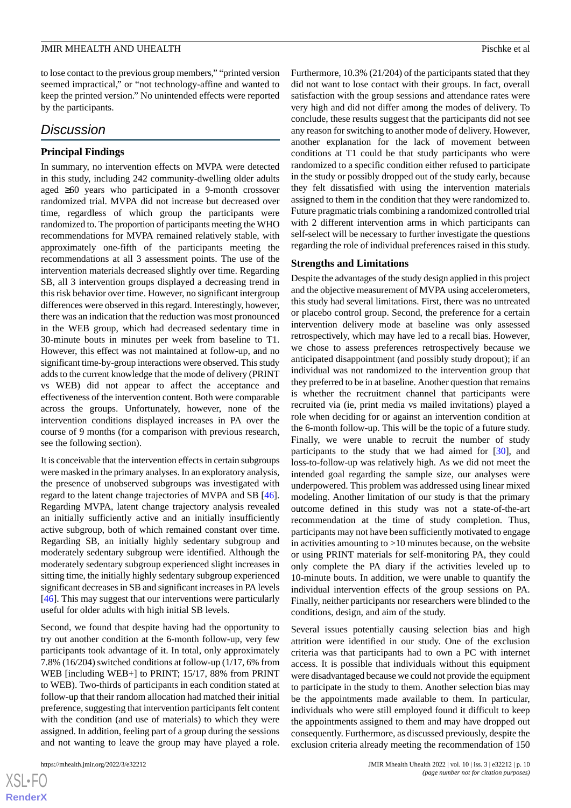to lose contact to the previous group members," "printed version seemed impractical," or "not technology-affine and wanted to keep the printed version." No unintended effects were reported by the participants.

## *Discussion*

## **Principal Findings**

In summary, no intervention effects on MVPA were detected in this study, including 242 community-dwelling older adults aged ≥60 years who participated in a 9-month crossover randomized trial. MVPA did not increase but decreased over time, regardless of which group the participants were randomized to. The proportion of participants meeting the WHO recommendations for MVPA remained relatively stable, with approximately one-fifth of the participants meeting the recommendations at all 3 assessment points. The use of the intervention materials decreased slightly over time. Regarding SB, all 3 intervention groups displayed a decreasing trend in this risk behavior over time. However, no significant intergroup differences were observed in this regard. Interestingly, however, there was an indication that the reduction was most pronounced in the WEB group, which had decreased sedentary time in 30-minute bouts in minutes per week from baseline to T1. However, this effect was not maintained at follow-up, and no significant time-by-group interactions were observed. This study adds to the current knowledge that the mode of delivery (PRINT vs WEB) did not appear to affect the acceptance and effectiveness of the intervention content. Both were comparable across the groups. Unfortunately, however, none of the intervention conditions displayed increases in PA over the course of 9 months (for a comparison with previous research, see the following section).

It is conceivable that the intervention effects in certain subgroups were masked in the primary analyses. In an exploratory analysis, the presence of unobserved subgroups was investigated with regard to the latent change trajectories of MVPA and SB [[46\]](#page-13-15). Regarding MVPA, latent change trajectory analysis revealed an initially sufficiently active and an initially insufficiently active subgroup, both of which remained constant over time. Regarding SB, an initially highly sedentary subgroup and moderately sedentary subgroup were identified. Although the moderately sedentary subgroup experienced slight increases in sitting time, the initially highly sedentary subgroup experienced significant decreases in SB and significant increases in PA levels [[46\]](#page-13-15). This may suggest that our interventions were particularly useful for older adults with high initial SB levels.

Second, we found that despite having had the opportunity to try out another condition at the 6-month follow-up, very few participants took advantage of it. In total, only approximately 7.8% (16/204) switched conditions at follow-up (1/17, 6% from WEB [including WEB+] to PRINT; 15/17, 88% from PRINT to WEB). Two-thirds of participants in each condition stated at follow-up that their random allocation had matched their initial preference, suggesting that intervention participants felt content with the condition (and use of materials) to which they were assigned. In addition, feeling part of a group during the sessions and not wanting to leave the group may have played a role.

Furthermore, 10.3% (21/204) of the participants stated that they did not want to lose contact with their groups. In fact, overall satisfaction with the group sessions and attendance rates were very high and did not differ among the modes of delivery. To conclude, these results suggest that the participants did not see any reason for switching to another mode of delivery. However, another explanation for the lack of movement between conditions at T1 could be that study participants who were randomized to a specific condition either refused to participate in the study or possibly dropped out of the study early, because they felt dissatisfied with using the intervention materials assigned to them in the condition that they were randomized to. Future pragmatic trials combining a randomized controlled trial with 2 different intervention arms in which participants can self-select will be necessary to further investigate the questions regarding the role of individual preferences raised in this study.

#### **Strengths and Limitations**

Despite the advantages of the study design applied in this project and the objective measurement of MVPA using accelerometers, this study had several limitations. First, there was no untreated or placebo control group. Second, the preference for a certain intervention delivery mode at baseline was only assessed retrospectively, which may have led to a recall bias. However, we chose to assess preferences retrospectively because we anticipated disappointment (and possibly study dropout); if an individual was not randomized to the intervention group that they preferred to be in at baseline. Another question that remains is whether the recruitment channel that participants were recruited via (ie, print media vs mailed invitations) played a role when deciding for or against an intervention condition at the 6-month follow-up. This will be the topic of a future study. Finally, we were unable to recruit the number of study participants to the study that we had aimed for [[30\]](#page-12-19), and loss-to-follow-up was relatively high. As we did not meet the intended goal regarding the sample size, our analyses were underpowered. This problem was addressed using linear mixed modeling. Another limitation of our study is that the primary outcome defined in this study was not a state-of-the-art recommendation at the time of study completion. Thus, participants may not have been sufficiently motivated to engage in activities amounting to  $>10$  minutes because, on the website or using PRINT materials for self-monitoring PA, they could only complete the PA diary if the activities leveled up to 10-minute bouts. In addition, we were unable to quantify the individual intervention effects of the group sessions on PA. Finally, neither participants nor researchers were blinded to the conditions, design, and aim of the study.

Several issues potentially causing selection bias and high attrition were identified in our study. One of the exclusion criteria was that participants had to own a PC with internet access. It is possible that individuals without this equipment were disadvantaged because we could not provide the equipment to participate in the study to them. Another selection bias may be the appointments made available to them. In particular, individuals who were still employed found it difficult to keep the appointments assigned to them and may have dropped out consequently. Furthermore, as discussed previously, despite the exclusion criteria already meeting the recommendation of 150

 $XSJ \cdot F$ **[RenderX](http://www.renderx.com/)**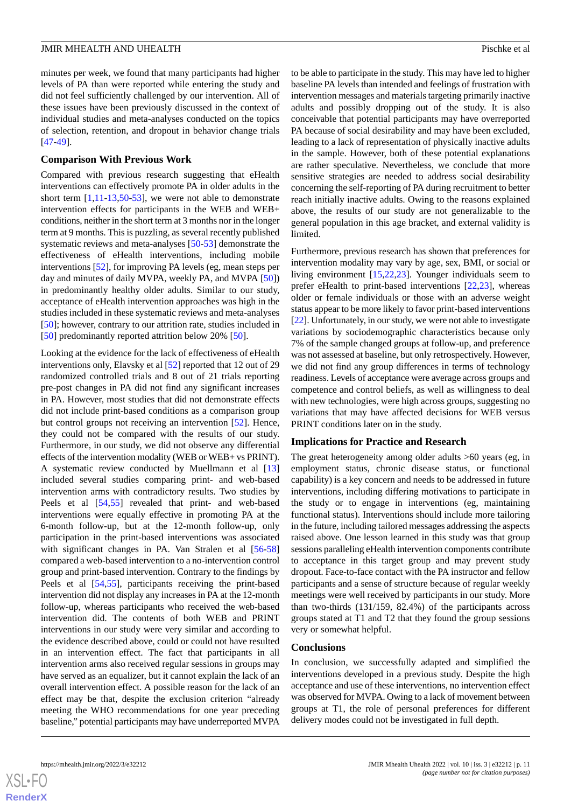minutes per week, we found that many participants had higher levels of PA than were reported while entering the study and did not feel sufficiently challenged by our intervention. All of these issues have been previously discussed in the context of individual studies and meta-analyses conducted on the topics of selection, retention, and dropout in behavior change trials [[47](#page-13-16)[-49](#page-13-17)].

#### **Comparison With Previous Work**

Compared with previous research suggesting that eHealth interventions can effectively promote PA in older adults in the short term  $[1,11-13,50-53]$  $[1,11-13,50-53]$  $[1,11-13,50-53]$  $[1,11-13,50-53]$  $[1,11-13,50-53]$  $[1,11-13,50-53]$  $[1,11-13,50-53]$ , we were not able to demonstrate intervention effects for participants in the WEB and WEB+ conditions, neither in the short term at 3 months nor in the longer term at 9 months. This is puzzling, as several recently published systematic reviews and meta-analyses [\[50](#page-13-18)[-53](#page-13-19)] demonstrate the effectiveness of eHealth interventions, including mobile interventions [\[52](#page-13-20)], for improving PA levels (eg, mean steps per day and minutes of daily MVPA, weekly PA, and MVPA [[50\]](#page-13-18)) in predominantly healthy older adults. Similar to our study, acceptance of eHealth intervention approaches was high in the studies included in these systematic reviews and meta-analyses [[50\]](#page-13-18); however, contrary to our attrition rate, studies included in [[50\]](#page-13-18) predominantly reported attrition below 20% [\[50](#page-13-18)].

Looking at the evidence for the lack of effectiveness of eHealth interventions only, Elavsky et al [\[52](#page-13-20)] reported that 12 out of 29 randomized controlled trials and 8 out of 21 trials reporting pre-post changes in PA did not find any significant increases in PA. However, most studies that did not demonstrate effects did not include print-based conditions as a comparison group but control groups not receiving an intervention [\[52](#page-13-20)]. Hence, they could not be compared with the results of our study. Furthermore, in our study, we did not observe any differential effects of the intervention modality (WEB or WEB+ vs PRINT). A systematic review conducted by Muellmann et al [\[13](#page-12-2)] included several studies comparing print- and web-based intervention arms with contradictory results. Two studies by Peels et al [[54,](#page-14-0)[55](#page-14-1)] revealed that print- and web-based interventions were equally effective in promoting PA at the 6-month follow-up, but at the 12-month follow-up, only participation in the print-based interventions was associated with significant changes in PA. Van Stralen et al [[56](#page-14-2)[-58](#page-14-3)] compared a web-based intervention to a no-intervention control group and print-based intervention. Contrary to the findings by Peels et al [\[54](#page-14-0),[55\]](#page-14-1), participants receiving the print-based intervention did not display any increases in PA at the 12-month follow-up, whereas participants who received the web-based intervention did. The contents of both WEB and PRINT interventions in our study were very similar and according to the evidence described above, could or could not have resulted in an intervention effect. The fact that participants in all intervention arms also received regular sessions in groups may have served as an equalizer, but it cannot explain the lack of an overall intervention effect. A possible reason for the lack of an effect may be that, despite the exclusion criterion "already meeting the WHO recommendations for one year preceding baseline," potential participants may have underreported MVPA

to be able to participate in the study. This may have led to higher baseline PA levels than intended and feelings of frustration with intervention messages and materials targeting primarily inactive adults and possibly dropping out of the study. It is also conceivable that potential participants may have overreported PA because of social desirability and may have been excluded, leading to a lack of representation of physically inactive adults in the sample. However, both of these potential explanations are rather speculative. Nevertheless, we conclude that more sensitive strategies are needed to address social desirability concerning the self-reporting of PA during recruitment to better reach initially inactive adults. Owing to the reasons explained above, the results of our study are not generalizable to the general population in this age bracket, and external validity is limited.

Furthermore, previous research has shown that preferences for intervention modality may vary by age, sex, BMI, or social or living environment [[15,](#page-12-10)[22](#page-12-11),[23\]](#page-12-12). Younger individuals seem to prefer eHealth to print-based interventions [[22,](#page-12-11)[23](#page-12-12)], whereas older or female individuals or those with an adverse weight status appear to be more likely to favor print-based interventions [[22\]](#page-12-11). Unfortunately, in our study, we were not able to investigate variations by sociodemographic characteristics because only 7% of the sample changed groups at follow-up, and preference was not assessed at baseline, but only retrospectively. However, we did not find any group differences in terms of technology readiness. Levels of acceptance were average across groups and competence and control beliefs, as well as willingness to deal with new technologies, were high across groups, suggesting no variations that may have affected decisions for WEB versus PRINT conditions later on in the study.

#### **Implications for Practice and Research**

The great heterogeneity among older adults >60 years (eg, in employment status, chronic disease status, or functional capability) is a key concern and needs to be addressed in future interventions, including differing motivations to participate in the study or to engage in interventions (eg, maintaining functional status). Interventions should include more tailoring in the future, including tailored messages addressing the aspects raised above. One lesson learned in this study was that group sessions paralleling eHealth intervention components contribute to acceptance in this target group and may prevent study dropout. Face-to-face contact with the PA instructor and fellow participants and a sense of structure because of regular weekly meetings were well received by participants in our study. More than two-thirds (131/159, 82.4%) of the participants across groups stated at T1 and T2 that they found the group sessions very or somewhat helpful.

#### **Conclusions**

In conclusion, we successfully adapted and simplified the interventions developed in a previous study. Despite the high acceptance and use of these interventions, no intervention effect was observed for MVPA. Owing to a lack of movement between groups at T1, the role of personal preferences for different delivery modes could not be investigated in full depth.

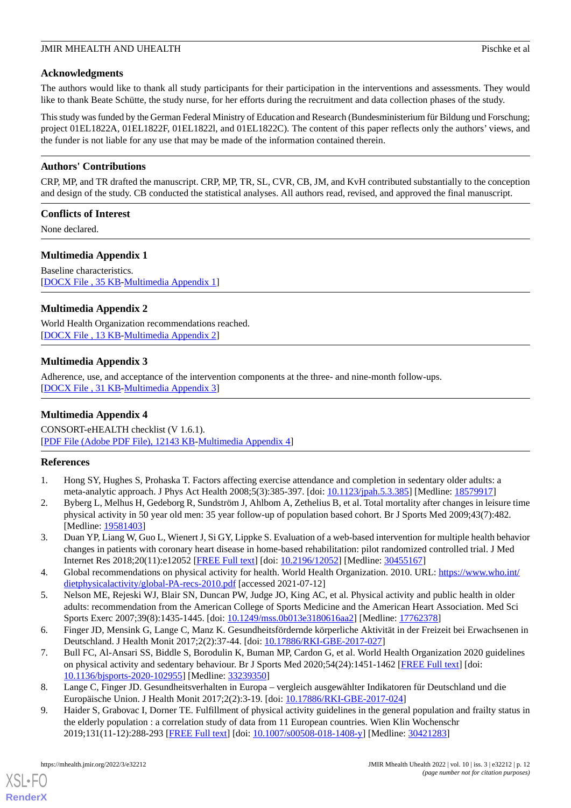## **Acknowledgments**

The authors would like to thank all study participants for their participation in the interventions and assessments. They would like to thank Beate Schütte, the study nurse, for her efforts during the recruitment and data collection phases of the study.

This study was funded by the German Federal Ministry of Education and Research (Bundesministerium für Bildung und Forschung; project 01EL1822A, 01EL1822F, 01EL1822l, and 01EL1822C). The content of this paper reflects only the authors' views, and the funder is not liable for any use that may be made of the information contained therein.

## **Authors' Contributions**

CRP, MP, and TR drafted the manuscript. CRP, MP, TR, SL, CVR, CB, JM, and KvH contributed substantially to the conception and design of the study. CB conducted the statistical analyses. All authors read, revised, and approved the final manuscript.

#### **Conflicts of Interest**

<span id="page-11-9"></span>None declared.

## **Multimedia Appendix 1**

<span id="page-11-10"></span>Baseline characteristics. [[DOCX File , 35 KB](https://jmir.org/api/download?alt_name=mhealth_v10i3e32212_app1.docx&filename=b4ef8c4a78c29b3659450065bb32dfbe.docx)-[Multimedia Appendix 1\]](https://jmir.org/api/download?alt_name=mhealth_v10i3e32212_app1.docx&filename=b4ef8c4a78c29b3659450065bb32dfbe.docx)

## **Multimedia Appendix 2**

<span id="page-11-11"></span>World Health Organization recommendations reached. [[DOCX File , 13 KB](https://jmir.org/api/download?alt_name=mhealth_v10i3e32212_app2.docx&filename=b41cc553f5990ce8b6bd921ce3cc0026.docx)-[Multimedia Appendix 2\]](https://jmir.org/api/download?alt_name=mhealth_v10i3e32212_app2.docx&filename=b41cc553f5990ce8b6bd921ce3cc0026.docx)

## **Multimedia Appendix 3**

Adherence, use, and acceptance of the intervention components at the three- and nine-month follow-ups. [[DOCX File , 31 KB](https://jmir.org/api/download?alt_name=mhealth_v10i3e32212_app3.docx&filename=b46a9ea7b8b1fed840d2c03c8b88310b.docx)-[Multimedia Appendix 3\]](https://jmir.org/api/download?alt_name=mhealth_v10i3e32212_app3.docx&filename=b46a9ea7b8b1fed840d2c03c8b88310b.docx)

## **Multimedia Appendix 4**

<span id="page-11-0"></span>CONSORT-eHEALTH checklist (V 1.6.1). [[PDF File \(Adobe PDF File\), 12143 KB](https://jmir.org/api/download?alt_name=mhealth_v10i3e32212_app4.pdf&filename=d23b88983e026dad1801e28cf3bb84ec.pdf)-[Multimedia Appendix 4\]](https://jmir.org/api/download?alt_name=mhealth_v10i3e32212_app4.pdf&filename=d23b88983e026dad1801e28cf3bb84ec.pdf)

## <span id="page-11-1"></span>**References**

- <span id="page-11-2"></span>1. Hong SY, Hughes S, Prohaska T. Factors affecting exercise attendance and completion in sedentary older adults: a meta-analytic approach. J Phys Act Health 2008;5(3):385-397. [doi: [10.1123/jpah.5.3.385](http://dx.doi.org/10.1123/jpah.5.3.385)] [Medline: [18579917](http://www.ncbi.nlm.nih.gov/entrez/query.fcgi?cmd=Retrieve&db=PubMed&list_uids=18579917&dopt=Abstract)]
- <span id="page-11-3"></span>2. Byberg L, Melhus H, Gedeborg R, Sundström J, Ahlbom A, Zethelius B, et al. Total mortality after changes in leisure time physical activity in 50 year old men: 35 year follow-up of population based cohort. Br J Sports Med 2009;43(7):482. [Medline: [19581403](http://www.ncbi.nlm.nih.gov/entrez/query.fcgi?cmd=Retrieve&db=PubMed&list_uids=19581403&dopt=Abstract)]
- <span id="page-11-4"></span>3. Duan YP, Liang W, Guo L, Wienert J, Si GY, Lippke S. Evaluation of a web-based intervention for multiple health behavior changes in patients with coronary heart disease in home-based rehabilitation: pilot randomized controlled trial. J Med Internet Res 2018;20(11):e12052 [\[FREE Full text\]](https://www.jmir.org/2018/11/e12052/) [doi: [10.2196/12052](http://dx.doi.org/10.2196/12052)] [Medline: [30455167\]](http://www.ncbi.nlm.nih.gov/entrez/query.fcgi?cmd=Retrieve&db=PubMed&list_uids=30455167&dopt=Abstract)
- <span id="page-11-5"></span>4. Global recommendations on physical activity for health. World Health Organization. 2010. URL: [https://www.who.int/](https://www.who.int/dietphysicalactivity/global-PA-recs-2010.pdf) [dietphysicalactivity/global-PA-recs-2010.pdf](https://www.who.int/dietphysicalactivity/global-PA-recs-2010.pdf) [accessed 2021-07-12]
- <span id="page-11-6"></span>5. Nelson ME, Rejeski WJ, Blair SN, Duncan PW, Judge JO, King AC, et al. Physical activity and public health in older adults: recommendation from the American College of Sports Medicine and the American Heart Association. Med Sci Sports Exerc 2007;39(8):1435-1445. [doi: [10.1249/mss.0b013e3180616aa2\]](http://dx.doi.org/10.1249/mss.0b013e3180616aa2) [Medline: [17762378\]](http://www.ncbi.nlm.nih.gov/entrez/query.fcgi?cmd=Retrieve&db=PubMed&list_uids=17762378&dopt=Abstract)
- <span id="page-11-8"></span><span id="page-11-7"></span>6. Finger JD, Mensink G, Lange C, Manz K. Gesundheitsfördernde körperliche Aktivität in der Freizeit bei Erwachsenen in Deutschland. J Health Monit 2017;2(2):37-44. [doi: [10.17886/RKI-GBE-2017-027](http://dx.doi.org/10.17886/RKI-GBE-2017-027)]
- 7. Bull FC, Al-Ansari SS, Biddle S, Borodulin K, Buman MP, Cardon G, et al. World Health Organization 2020 guidelines on physical activity and sedentary behaviour. Br J Sports Med 2020;54(24):1451-1462 [\[FREE Full text\]](http://bjsm.bmj.com/lookup/pmidlookup?view=long&pmid=33239350) [doi: [10.1136/bjsports-2020-102955](http://dx.doi.org/10.1136/bjsports-2020-102955)] [Medline: [33239350\]](http://www.ncbi.nlm.nih.gov/entrez/query.fcgi?cmd=Retrieve&db=PubMed&list_uids=33239350&dopt=Abstract)
- 8. Lange C, Finger JD. Gesundheitsverhalten in Europa vergleich ausgewählter Indikatoren für Deutschland und die Europäische Union. J Health Monit 2017;2(2):3-19. [doi: [10.17886/RKI-GBE-2017-024](http://dx.doi.org/10.17886/RKI-GBE-2017-024)]
- 9. Haider S, Grabovac I, Dorner TE. Fulfillment of physical activity guidelines in the general population and frailty status in the elderly population : a correlation study of data from 11 European countries. Wien Klin Wochenschr 2019;131(11-12):288-293 [\[FREE Full text\]](http://europepmc.org/abstract/MED/30421283) [doi: [10.1007/s00508-018-1408-y](http://dx.doi.org/10.1007/s00508-018-1408-y)] [Medline: [30421283\]](http://www.ncbi.nlm.nih.gov/entrez/query.fcgi?cmd=Retrieve&db=PubMed&list_uids=30421283&dopt=Abstract)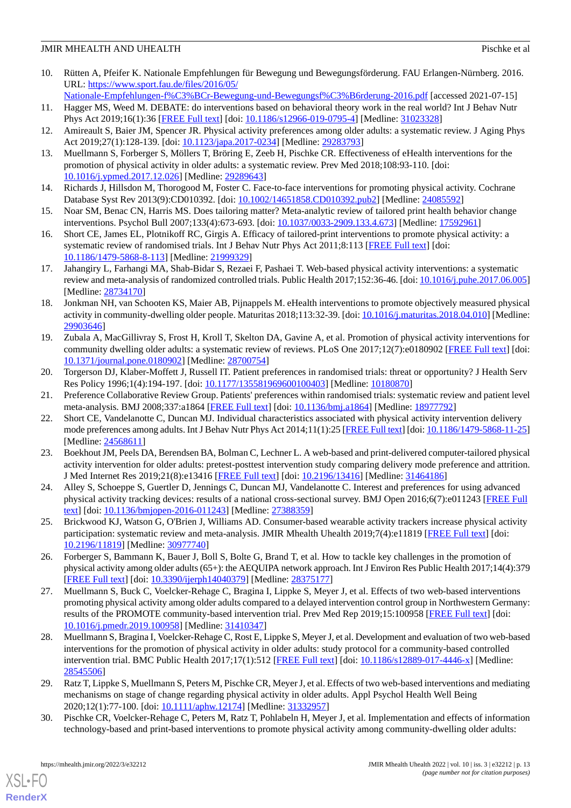- <span id="page-12-0"></span>10. Rütten A, Pfeifer K. Nationale Empfehlungen für Bewegung und Bewegungsförderung. FAU Erlangen-Nürnberg. 2016. URL: [https://www.sport.fau.de/files/2016/05/](https://www.sport.fau.de/files/2016/05/Nationale-Empfehlungen-f%C3%BCr-Bewegung-und-Bewegungsf%C3%B6rderung-2016.pdf)
- <span id="page-12-1"></span>[Nationale-Empfehlungen-f%C3%BCr-Bewegung-und-Bewegungsf%C3%B6rderung-2016.pdf](https://www.sport.fau.de/files/2016/05/Nationale-Empfehlungen-f%C3%BCr-Bewegung-und-Bewegungsf%C3%B6rderung-2016.pdf) [accessed 2021-07-15] 11. Hagger MS, Weed M. DEBATE: do interventions based on behavioral theory work in the real world? Int J Behav Nutr Phys Act 2019;16(1):36 [\[FREE Full text\]](https://ijbnpa.biomedcentral.com/articles/10.1186/s12966-019-0795-4) [doi: [10.1186/s12966-019-0795-4](http://dx.doi.org/10.1186/s12966-019-0795-4)] [Medline: [31023328\]](http://www.ncbi.nlm.nih.gov/entrez/query.fcgi?cmd=Retrieve&db=PubMed&list_uids=31023328&dopt=Abstract)
- <span id="page-12-15"></span><span id="page-12-2"></span>12. Amireault S, Baier JM, Spencer JR. Physical activity preferences among older adults: a systematic review. J Aging Phys Act 2019;27(1):128-139. [doi: [10.1123/japa.2017-0234](http://dx.doi.org/10.1123/japa.2017-0234)] [Medline: [29283793\]](http://www.ncbi.nlm.nih.gov/entrez/query.fcgi?cmd=Retrieve&db=PubMed&list_uids=29283793&dopt=Abstract)
- <span id="page-12-3"></span>13. Muellmann S, Forberger S, Möllers T, Bröring E, Zeeb H, Pischke CR. Effectiveness of eHealth interventions for the promotion of physical activity in older adults: a systematic review. Prev Med 2018;108:93-110. [doi: [10.1016/j.ypmed.2017.12.026\]](http://dx.doi.org/10.1016/j.ypmed.2017.12.026) [Medline: [29289643\]](http://www.ncbi.nlm.nih.gov/entrez/query.fcgi?cmd=Retrieve&db=PubMed&list_uids=29289643&dopt=Abstract)
- <span id="page-12-10"></span>14. Richards J, Hillsdon M, Thorogood M, Foster C. Face-to-face interventions for promoting physical activity. Cochrane Database Syst Rev 2013(9):CD010392. [doi: [10.1002/14651858.CD010392.pub2\]](http://dx.doi.org/10.1002/14651858.CD010392.pub2) [Medline: [24085592](http://www.ncbi.nlm.nih.gov/entrez/query.fcgi?cmd=Retrieve&db=PubMed&list_uids=24085592&dopt=Abstract)]
- <span id="page-12-4"></span>15. Noar SM, Benac CN, Harris MS. Does tailoring matter? Meta-analytic review of tailored print health behavior change interventions. Psychol Bull 2007;133(4):673-693. [doi: [10.1037/0033-2909.133.4.673](http://dx.doi.org/10.1037/0033-2909.133.4.673)] [Medline: [17592961](http://www.ncbi.nlm.nih.gov/entrez/query.fcgi?cmd=Retrieve&db=PubMed&list_uids=17592961&dopt=Abstract)]
- <span id="page-12-5"></span>16. Short CE, James EL, Plotnikoff RC, Girgis A. Efficacy of tailored-print interventions to promote physical activity: a systematic review of randomised trials. Int J Behav Nutr Phys Act 2011;8:113 [\[FREE Full text\]](https://ijbnpa.biomedcentral.com/articles/10.1186/1479-5868-8-113) [doi: [10.1186/1479-5868-8-113\]](http://dx.doi.org/10.1186/1479-5868-8-113) [Medline: [21999329\]](http://www.ncbi.nlm.nih.gov/entrez/query.fcgi?cmd=Retrieve&db=PubMed&list_uids=21999329&dopt=Abstract)
- <span id="page-12-6"></span>17. Jahangiry L, Farhangi MA, Shab-Bidar S, Rezaei F, Pashaei T. Web-based physical activity interventions: a systematic review and meta-analysis of randomized controlled trials. Public Health 2017;152:36-46. [doi: [10.1016/j.puhe.2017.06.005\]](http://dx.doi.org/10.1016/j.puhe.2017.06.005) [Medline: [28734170](http://www.ncbi.nlm.nih.gov/entrez/query.fcgi?cmd=Retrieve&db=PubMed&list_uids=28734170&dopt=Abstract)]
- <span id="page-12-7"></span>18. Jonkman NH, van Schooten KS, Maier AB, Pijnappels M. eHealth interventions to promote objectively measured physical activity in community-dwelling older people. Maturitas 2018;113:32-39. [doi: [10.1016/j.maturitas.2018.04.010\]](http://dx.doi.org/10.1016/j.maturitas.2018.04.010) [Medline: [29903646](http://www.ncbi.nlm.nih.gov/entrez/query.fcgi?cmd=Retrieve&db=PubMed&list_uids=29903646&dopt=Abstract)]
- <span id="page-12-8"></span>19. Zubala A, MacGillivray S, Frost H, Kroll T, Skelton DA, Gavine A, et al. Promotion of physical activity interventions for community dwelling older adults: a systematic review of reviews. PLoS One 2017;12(7):e0180902 [[FREE Full text](https://dx.plos.org/10.1371/journal.pone.0180902)] [doi: [10.1371/journal.pone.0180902\]](http://dx.doi.org/10.1371/journal.pone.0180902) [Medline: [28700754](http://www.ncbi.nlm.nih.gov/entrez/query.fcgi?cmd=Retrieve&db=PubMed&list_uids=28700754&dopt=Abstract)]
- <span id="page-12-11"></span><span id="page-12-9"></span>20. Torgerson DJ, Klaber-Moffett J, Russell IT. Patient preferences in randomised trials: threat or opportunity? J Health Serv Res Policy 1996;1(4):194-197. [doi: [10.1177/135581969600100403](http://dx.doi.org/10.1177/135581969600100403)] [Medline: [10180870\]](http://www.ncbi.nlm.nih.gov/entrez/query.fcgi?cmd=Retrieve&db=PubMed&list_uids=10180870&dopt=Abstract)
- 21. Preference Collaborative Review Group. Patients' preferences within randomised trials: systematic review and patient level meta-analysis. BMJ 2008;337:a1864 [\[FREE Full text\]](http://europepmc.org/abstract/MED/18977792) [doi: [10.1136/bmj.a1864\]](http://dx.doi.org/10.1136/bmj.a1864) [Medline: [18977792](http://www.ncbi.nlm.nih.gov/entrez/query.fcgi?cmd=Retrieve&db=PubMed&list_uids=18977792&dopt=Abstract)]
- <span id="page-12-12"></span>22. Short CE, Vandelanotte C, Duncan MJ. Individual characteristics associated with physical activity intervention delivery mode preferences among adults. Int J Behav Nutr Phys Act 2014;11(1):25 [\[FREE Full text](https://ijbnpa.biomedcentral.com/articles/10.1186/1479-5868-11-25)] [doi: [10.1186/1479-5868-11-25](http://dx.doi.org/10.1186/1479-5868-11-25)] [Medline: [24568611](http://www.ncbi.nlm.nih.gov/entrez/query.fcgi?cmd=Retrieve&db=PubMed&list_uids=24568611&dopt=Abstract)]
- <span id="page-12-14"></span><span id="page-12-13"></span>23. Boekhout JM, Peels DA, Berendsen BA, Bolman C, Lechner L. A web-based and print-delivered computer-tailored physical activity intervention for older adults: pretest-posttest intervention study comparing delivery mode preference and attrition. J Med Internet Res 2019;21(8):e13416 [\[FREE Full text\]](https://www.jmir.org/2019/8/e13416/) [doi: [10.2196/13416](http://dx.doi.org/10.2196/13416)] [Medline: [31464186](http://www.ncbi.nlm.nih.gov/entrez/query.fcgi?cmd=Retrieve&db=PubMed&list_uids=31464186&dopt=Abstract)]
- <span id="page-12-16"></span>24. Alley S, Schoeppe S, Guertler D, Jennings C, Duncan MJ, Vandelanotte C. Interest and preferences for using advanced physical activity tracking devices: results of a national cross-sectional survey. BMJ Open 2016;6(7):e011243 [\[FREE Full](https://bmjopen.bmj.com/lookup/pmidlookup?view=long&pmid=27388359) [text](https://bmjopen.bmj.com/lookup/pmidlookup?view=long&pmid=27388359)] [doi: [10.1136/bmjopen-2016-011243\]](http://dx.doi.org/10.1136/bmjopen-2016-011243) [Medline: [27388359](http://www.ncbi.nlm.nih.gov/entrez/query.fcgi?cmd=Retrieve&db=PubMed&list_uids=27388359&dopt=Abstract)]
- <span id="page-12-17"></span>25. Brickwood KJ, Watson G, O'Brien J, Williams AD. Consumer-based wearable activity trackers increase physical activity participation: systematic review and meta-analysis. JMIR Mhealth Uhealth 2019;7(4):e11819 [[FREE Full text](https://mhealth.jmir.org/2019/4/e11819/)] [doi: [10.2196/11819\]](http://dx.doi.org/10.2196/11819) [Medline: [30977740\]](http://www.ncbi.nlm.nih.gov/entrez/query.fcgi?cmd=Retrieve&db=PubMed&list_uids=30977740&dopt=Abstract)
- 26. Forberger S, Bammann K, Bauer J, Boll S, Bolte G, Brand T, et al. How to tackle key challenges in the promotion of physical activity among older adults (65+): the AEQUIPA network approach. Int J Environ Res Public Health 2017;14(4):379 [[FREE Full text](https://www.mdpi.com/resolver?pii=ijerph14040379)] [doi: [10.3390/ijerph14040379](http://dx.doi.org/10.3390/ijerph14040379)] [Medline: [28375177\]](http://www.ncbi.nlm.nih.gov/entrez/query.fcgi?cmd=Retrieve&db=PubMed&list_uids=28375177&dopt=Abstract)
- 27. Muellmann S, Buck C, Voelcker-Rehage C, Bragina I, Lippke S, Meyer J, et al. Effects of two web-based interventions promoting physical activity among older adults compared to a delayed intervention control group in Northwestern Germany: results of the PROMOTE community-based intervention trial. Prev Med Rep 2019;15:100958 [[FREE Full text\]](https://linkinghub.elsevier.com/retrieve/pii/S2211-3355(19)30129-9) [doi: [10.1016/j.pmedr.2019.100958](http://dx.doi.org/10.1016/j.pmedr.2019.100958)] [Medline: [31410347\]](http://www.ncbi.nlm.nih.gov/entrez/query.fcgi?cmd=Retrieve&db=PubMed&list_uids=31410347&dopt=Abstract)
- <span id="page-12-19"></span><span id="page-12-18"></span>28. Muellmann S, Bragina I, Voelcker-Rehage C, Rost E, Lippke S, Meyer J, et al. Development and evaluation of two web-based interventions for the promotion of physical activity in older adults: study protocol for a community-based controlled intervention trial. BMC Public Health 2017;17(1):512 [\[FREE Full text\]](https://bmcpublichealth.biomedcentral.com/articles/10.1186/s12889-017-4446-x) [doi: [10.1186/s12889-017-4446-x](http://dx.doi.org/10.1186/s12889-017-4446-x)] [Medline: [28545506](http://www.ncbi.nlm.nih.gov/entrez/query.fcgi?cmd=Retrieve&db=PubMed&list_uids=28545506&dopt=Abstract)]
- 29. Ratz T, Lippke S, Muellmann S, Peters M, Pischke CR, Meyer J, et al. Effects of two web-based interventions and mediating mechanisms on stage of change regarding physical activity in older adults. Appl Psychol Health Well Being 2020;12(1):77-100. [doi: [10.1111/aphw.12174](http://dx.doi.org/10.1111/aphw.12174)] [Medline: [31332957](http://www.ncbi.nlm.nih.gov/entrez/query.fcgi?cmd=Retrieve&db=PubMed&list_uids=31332957&dopt=Abstract)]
- 30. Pischke CR, Voelcker-Rehage C, Peters M, Ratz T, Pohlabeln H, Meyer J, et al. Implementation and effects of information technology-based and print-based interventions to promote physical activity among community-dwelling older adults: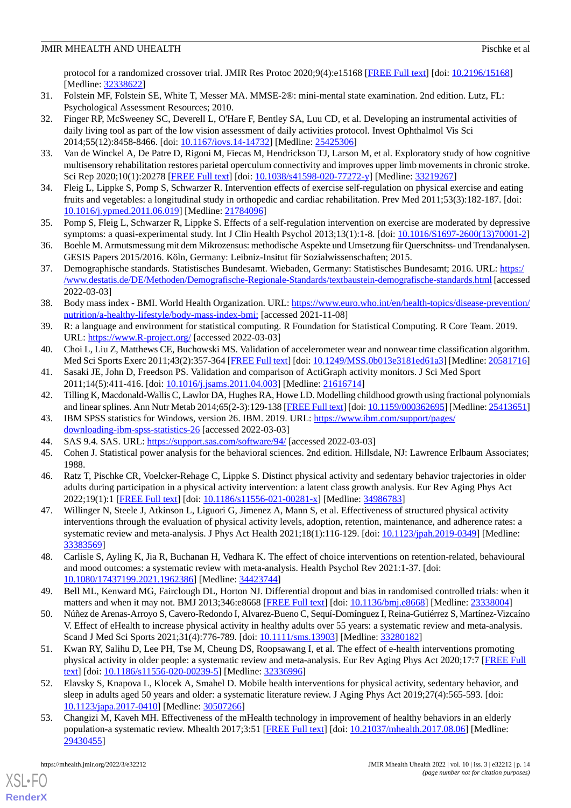protocol for a randomized crossover trial. JMIR Res Protoc 2020;9(4):e15168 [[FREE Full text](https://www.researchprotocols.org/2020/4/e15168/)] [doi: [10.2196/15168\]](http://dx.doi.org/10.2196/15168) [Medline: [32338622](http://www.ncbi.nlm.nih.gov/entrez/query.fcgi?cmd=Retrieve&db=PubMed&list_uids=32338622&dopt=Abstract)]

- <span id="page-13-1"></span><span id="page-13-0"></span>31. Folstein MF, Folstein SE, White T, Messer MA. MMSE-2®: mini-mental state examination. 2nd edition. Lutz, FL: Psychological Assessment Resources; 2010.
- 32. Finger RP, McSweeney SC, Deverell L, O'Hare F, Bentley SA, Luu CD, et al. Developing an instrumental activities of daily living tool as part of the low vision assessment of daily activities protocol. Invest Ophthalmol Vis Sci 2014;55(12):8458-8466. [doi: [10.1167/iovs.14-14732](http://dx.doi.org/10.1167/iovs.14-14732)] [Medline: [25425306\]](http://www.ncbi.nlm.nih.gov/entrez/query.fcgi?cmd=Retrieve&db=PubMed&list_uids=25425306&dopt=Abstract)
- <span id="page-13-3"></span><span id="page-13-2"></span>33. Van de Winckel A, De Patre D, Rigoni M, Fiecas M, Hendrickson TJ, Larson M, et al. Exploratory study of how cognitive multisensory rehabilitation restores parietal operculum connectivity and improves upper limb movements in chronic stroke. Sci Rep 2020;10(1):20278 [\[FREE Full text\]](https://doi.org/10.1038/s41598-020-77272-y) [doi: [10.1038/s41598-020-77272-y](http://dx.doi.org/10.1038/s41598-020-77272-y)] [Medline: [33219267](http://www.ncbi.nlm.nih.gov/entrez/query.fcgi?cmd=Retrieve&db=PubMed&list_uids=33219267&dopt=Abstract)]
- <span id="page-13-4"></span>34. Fleig L, Lippke S, Pomp S, Schwarzer R. Intervention effects of exercise self-regulation on physical exercise and eating fruits and vegetables: a longitudinal study in orthopedic and cardiac rehabilitation. Prev Med 2011;53(3):182-187. [doi: [10.1016/j.ypmed.2011.06.019\]](http://dx.doi.org/10.1016/j.ypmed.2011.06.019) [Medline: [21784096\]](http://www.ncbi.nlm.nih.gov/entrez/query.fcgi?cmd=Retrieve&db=PubMed&list_uids=21784096&dopt=Abstract)
- <span id="page-13-5"></span>35. Pomp S, Fleig L, Schwarzer R, Lippke S. Effects of a self-regulation intervention on exercise are moderated by depressive symptoms: a quasi-experimental study. Int J Clin Health Psychol 2013;13(1):1-8. [doi: [10.1016/S1697-2600\(13\)70001-2](http://dx.doi.org/10.1016/S1697-2600(13)70001-2)]
- <span id="page-13-6"></span>36. Boehle M. Armutsmessung mit dem Mikrozensus: methodische Aspekte und Umsetzung für Querschnitss- und Trendanalysen. GESIS Papers 2015/2016. Köln, Germany: Leibniz-Insitut für Sozialwissenschaften; 2015.
- <span id="page-13-7"></span>37. Demographische standards. Statistisches Bundesamt. Wiebaden, Germany: Statistisches Bundesamt; 2016. URL: [https:/](https://www.destatis.de/DE/Methoden/Demografische-Regionale-Standards/textbaustein-demografische-standards.html) [/www.destatis.de/DE/Methoden/Demografische-Regionale-Standards/textbaustein-demografische-standards.html](https://www.destatis.de/DE/Methoden/Demografische-Regionale-Standards/textbaustein-demografische-standards.html) [accessed 2022-03-03]
- <span id="page-13-8"></span>38. Body mass index - BMI. World Health Organization. URL: [https://www.euro.who.int/en/health-topics/disease-prevention/](https://www.euro.who.int/en/health-topics/disease-prevention/nutrition/a-healthy-lifestyle/body-mass-index-bmi;) [nutrition/a-healthy-lifestyle/body-mass-index-bmi;](https://www.euro.who.int/en/health-topics/disease-prevention/nutrition/a-healthy-lifestyle/body-mass-index-bmi;) [accessed 2021-11-08]
- <span id="page-13-10"></span><span id="page-13-9"></span>39. R: a language and environment for statistical computing. R Foundation for Statistical Computing. R Core Team. 2019. URL: <https://www.R-project.org/> [accessed 2022-03-03]
- <span id="page-13-11"></span>40. Choi L, Liu Z, Matthews CE, Buchowski MS. Validation of accelerometer wear and nonwear time classification algorithm. Med Sci Sports Exerc 2011;43(2):357-364 [\[FREE Full text](http://europepmc.org/abstract/MED/20581716)] [doi: [10.1249/MSS.0b013e3181ed61a3](http://dx.doi.org/10.1249/MSS.0b013e3181ed61a3)] [Medline: [20581716](http://www.ncbi.nlm.nih.gov/entrez/query.fcgi?cmd=Retrieve&db=PubMed&list_uids=20581716&dopt=Abstract)]
- <span id="page-13-12"></span>41. Sasaki JE, John D, Freedson PS. Validation and comparison of ActiGraph activity monitors. J Sci Med Sport 2011;14(5):411-416. [doi: [10.1016/j.jsams.2011.04.003](http://dx.doi.org/10.1016/j.jsams.2011.04.003)] [Medline: [21616714](http://www.ncbi.nlm.nih.gov/entrez/query.fcgi?cmd=Retrieve&db=PubMed&list_uids=21616714&dopt=Abstract)]
- <span id="page-13-13"></span>42. Tilling K, Macdonald-Wallis C, Lawlor DA, Hughes RA, Howe LD. Modelling childhood growth using fractional polynomials and linear splines. Ann Nutr Metab 2014;65(2-3):129-138 [\[FREE Full text\]](https://www.karger.com?DOI=10.1159/000362695) [doi: [10.1159/000362695\]](http://dx.doi.org/10.1159/000362695) [Medline: [25413651\]](http://www.ncbi.nlm.nih.gov/entrez/query.fcgi?cmd=Retrieve&db=PubMed&list_uids=25413651&dopt=Abstract)
- <span id="page-13-15"></span><span id="page-13-14"></span>43. IBM SPSS statistics for Windows, version 26. IBM. 2019. URL: [https://www.ibm.com/support/pages/](https://www.ibm.com/support/pages/downloading-ibm-spss-statistics-26) [downloading-ibm-spss-statistics-26](https://www.ibm.com/support/pages/downloading-ibm-spss-statistics-26) [accessed 2022-03-03]
- 44. SAS 9.4. SAS. URL: <https://support.sas.com/software/94/> [accessed 2022-03-03]
- <span id="page-13-16"></span>45. Cohen J. Statistical power analysis for the behavioral sciences. 2nd edition. Hillsdale, NJ: Lawrence Erlbaum Associates; 1988.
- 46. Ratz T, Pischke CR, Voelcker-Rehage C, Lippke S. Distinct physical activity and sedentary behavior trajectories in older adults during participation in a physical activity intervention: a latent class growth analysis. Eur Rev Aging Phys Act 2022;19(1):1 [[FREE Full text\]](https://eurapa.biomedcentral.com/articles/10.1186/s11556-021-00281-x) [doi: [10.1186/s11556-021-00281-x](http://dx.doi.org/10.1186/s11556-021-00281-x)] [Medline: [34986783](http://www.ncbi.nlm.nih.gov/entrez/query.fcgi?cmd=Retrieve&db=PubMed&list_uids=34986783&dopt=Abstract)]
- <span id="page-13-17"></span>47. Willinger N, Steele J, Atkinson L, Liguori G, Jimenez A, Mann S, et al. Effectiveness of structured physical activity interventions through the evaluation of physical activity levels, adoption, retention, maintenance, and adherence rates: a systematic review and meta-analysis. J Phys Act Health 2021;18(1):116-129. [doi: [10.1123/jpah.2019-0349](http://dx.doi.org/10.1123/jpah.2019-0349)] [Medline: [33383569](http://www.ncbi.nlm.nih.gov/entrez/query.fcgi?cmd=Retrieve&db=PubMed&list_uids=33383569&dopt=Abstract)]
- <span id="page-13-18"></span>48. Carlisle S, Ayling K, Jia R, Buchanan H, Vedhara K. The effect of choice interventions on retention-related, behavioural and mood outcomes: a systematic review with meta-analysis. Health Psychol Rev 2021:1-37. [doi: [10.1080/17437199.2021.1962386\]](http://dx.doi.org/10.1080/17437199.2021.1962386) [Medline: [34423744\]](http://www.ncbi.nlm.nih.gov/entrez/query.fcgi?cmd=Retrieve&db=PubMed&list_uids=34423744&dopt=Abstract)
- 49. Bell ML, Kenward MG, Fairclough DL, Horton NJ. Differential dropout and bias in randomised controlled trials: when it matters and when it may not. BMJ 2013;346:e8668 [[FREE Full text](http://europepmc.org/abstract/MED/23338004)] [doi: [10.1136/bmj.e8668](http://dx.doi.org/10.1136/bmj.e8668)] [Medline: [23338004](http://www.ncbi.nlm.nih.gov/entrez/query.fcgi?cmd=Retrieve&db=PubMed&list_uids=23338004&dopt=Abstract)]
- <span id="page-13-20"></span>50. Núñez de Arenas-Arroyo S, Cavero-Redondo I, Alvarez-Bueno C, Sequí-Domínguez I, Reina-Gutiérrez S, Martínez-Vizcaíno V. Effect of eHealth to increase physical activity in healthy adults over 55 years: a systematic review and meta-analysis. Scand J Med Sci Sports 2021;31(4):776-789. [doi: [10.1111/sms.13903](http://dx.doi.org/10.1111/sms.13903)] [Medline: [33280182](http://www.ncbi.nlm.nih.gov/entrez/query.fcgi?cmd=Retrieve&db=PubMed&list_uids=33280182&dopt=Abstract)]
- <span id="page-13-19"></span>51. Kwan RY, Salihu D, Lee PH, Tse M, Cheung DS, Roopsawang I, et al. The effect of e-health interventions promoting physical activity in older people: a systematic review and meta-analysis. Eur Rev Aging Phys Act 2020;17:7 [[FREE Full](https://eurapa.biomedcentral.com/articles/10.1186/s11556-020-00239-5) [text](https://eurapa.biomedcentral.com/articles/10.1186/s11556-020-00239-5)] [doi: [10.1186/s11556-020-00239-5\]](http://dx.doi.org/10.1186/s11556-020-00239-5) [Medline: [32336996\]](http://www.ncbi.nlm.nih.gov/entrez/query.fcgi?cmd=Retrieve&db=PubMed&list_uids=32336996&dopt=Abstract)
- 52. Elavsky S, Knapova L, Klocek A, Smahel D. Mobile health interventions for physical activity, sedentary behavior, and sleep in adults aged 50 years and older: a systematic literature review. J Aging Phys Act 2019;27(4):565-593. [doi: [10.1123/japa.2017-0410](http://dx.doi.org/10.1123/japa.2017-0410)] [Medline: [30507266](http://www.ncbi.nlm.nih.gov/entrez/query.fcgi?cmd=Retrieve&db=PubMed&list_uids=30507266&dopt=Abstract)]
- 53. Changizi M, Kaveh MH. Effectiveness of the mHealth technology in improvement of healthy behaviors in an elderly population-a systematic review. Mhealth 2017;3:51 [[FREE Full text\]](https://doi.org/10.21037/mhealth.2017.08.06) [doi: [10.21037/mhealth.2017.08.06](http://dx.doi.org/10.21037/mhealth.2017.08.06)] [Medline: [29430455](http://www.ncbi.nlm.nih.gov/entrez/query.fcgi?cmd=Retrieve&db=PubMed&list_uids=29430455&dopt=Abstract)]